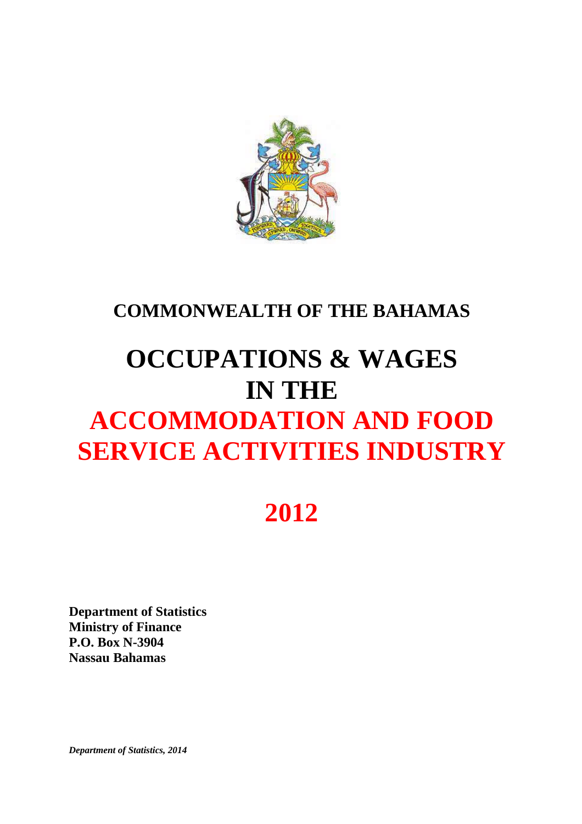

# **COMMONWEALTH OF THE BAHAMAS**

# **OCCUPATIONS & WAGES IN THE ACCOMMODATION AND FOOD SERVICE ACTIVITIES INDUSTRY**

# **2012**

**Department of Statistics Ministry of Finance P.O. Box N-3904 Nassau Bahamas**

*Department of Statistics, 2014*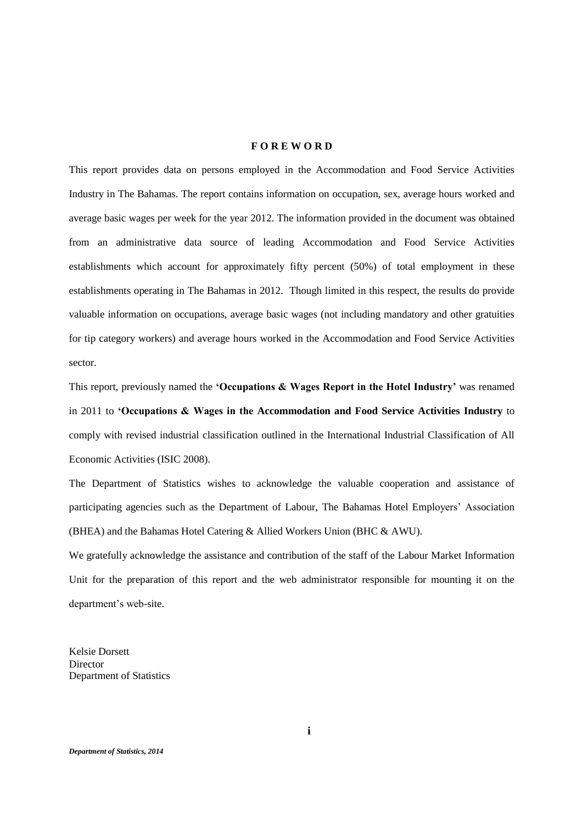## **F O R E W O R D**

This report provides data on persons employed in the Accommodation and Food Service Activities Industry in The Bahamas. The report contains information on occupation, sex, average hours worked and average basic wages per week for the year 2012. The information provided in the document was obtained from an administrative data source of leading Accommodation and Food Service Activities establishments which account for approximately fifty percent (50%) of total employment in these establishments operating in The Bahamas in 2012. Though limited in this respect, the results do provide valuable information on occupations, average basic wages (not including mandatory and other gratuities for tip category workers) and average hours worked in the Accommodation and Food Service Activities sector.

This report, previously named the **'Occupations & Wages Report in the Hotel Industry'** was renamed in 2011 to **'Occupations& WagesintheAccommodation and Food Service Activities Industry** to comply with revised industrial classification outlined in the International Industrial Classification of All Economic Activities (ISIC 2008).

The Department of Statistics wishes to acknowledge the valuable cooperation and assistance of participating agencies such as the Department of Labour, The Bahamas Hotel Employers' Association (BHEA) and the Bahamas Hotel Catering & Allied Workers Union (BHC & AWU).

We gratefully acknowledge the assistance and contribution of the staff of the Labour Market Information Unit for the preparation of this report and the web administrator responsible for mounting it on the department's web-site.

Kelsie Dorsett Director Department of Statistics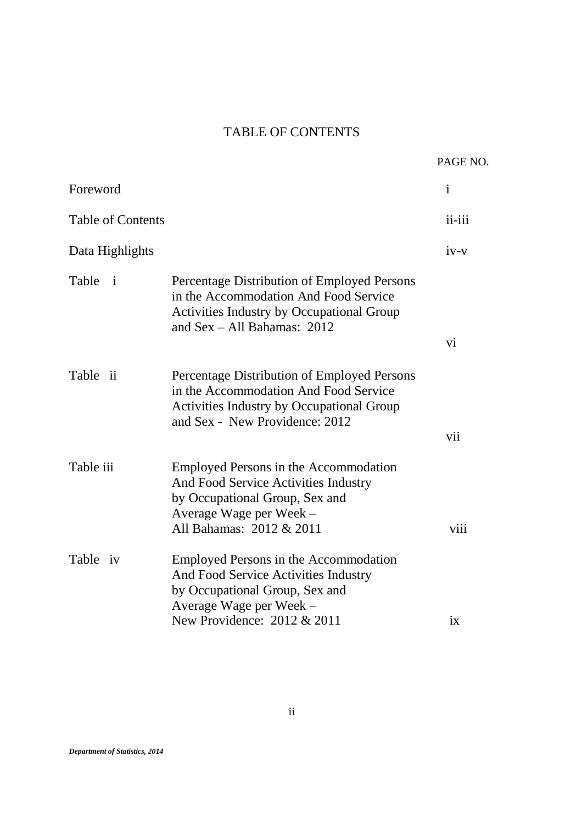# TABLE OF CONTENTS

|                          |                                                                                                                                                                            | PAGE NO.     |
|--------------------------|----------------------------------------------------------------------------------------------------------------------------------------------------------------------------|--------------|
| Foreword                 |                                                                                                                                                                            | $\mathbf{i}$ |
| <b>Table of Contents</b> |                                                                                                                                                                            | ii-iii       |
| Data Highlights          |                                                                                                                                                                            | $iv-v$       |
| Table<br>$\mathbf{i}$    | Percentage Distribution of Employed Persons<br>in the Accommodation And Food Service<br><b>Activities Industry by Occupational Group</b><br>and $Sex - All Bahamas: 2012$  | vi           |
| Table ii                 | Percentage Distribution of Employed Persons<br>in the Accommodation And Food Service<br><b>Activities Industry by Occupational Group</b><br>and Sex - New Providence: 2012 | vii          |
| Table iii                | Employed Persons in the Accommodation<br>And Food Service Activities Industry<br>by Occupational Group, Sex and<br>Average Wage per Week -<br>All Bahamas: 2012 & 2011     | viii         |
| Table iv                 | Employed Persons in the Accommodation<br>And Food Service Activities Industry<br>by Occupational Group, Sex and<br>Average Wage per Week -<br>New Providence: 2012 & 2011  | ix           |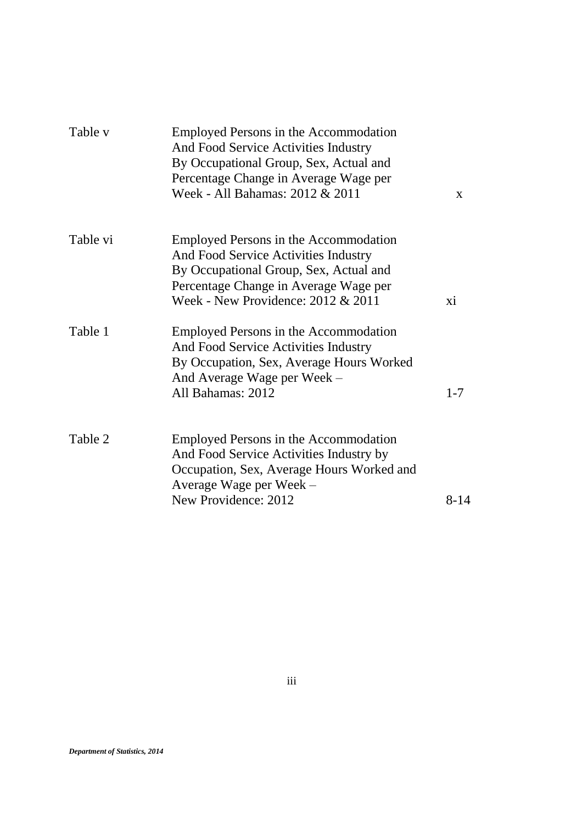| Table v  | Employed Persons in the Accommodation<br>And Food Service Activities Industry<br>By Occupational Group, Sex, Actual and<br>Percentage Change in Average Wage per<br>Week - All Bahamas: 2012 & 2011           | $\mathbf{X}$ |
|----------|---------------------------------------------------------------------------------------------------------------------------------------------------------------------------------------------------------------|--------------|
| Table vi | <b>Employed Persons in the Accommodation</b><br>And Food Service Activities Industry<br>By Occupational Group, Sex, Actual and<br>Percentage Change in Average Wage per<br>Week - New Providence: 2012 & 2011 | xi           |
| Table 1  | Employed Persons in the Accommodation<br>And Food Service Activities Industry<br>By Occupation, Sex, Average Hours Worked<br>And Average Wage per Week –<br>All Bahamas: 2012                                 | $1 - 7$      |
| Table 2  | Employed Persons in the Accommodation<br>And Food Service Activities Industry by<br>Occupation, Sex, Average Hours Worked and<br>Average Wage per Week -<br>New Providence: 2012                              | 8-14         |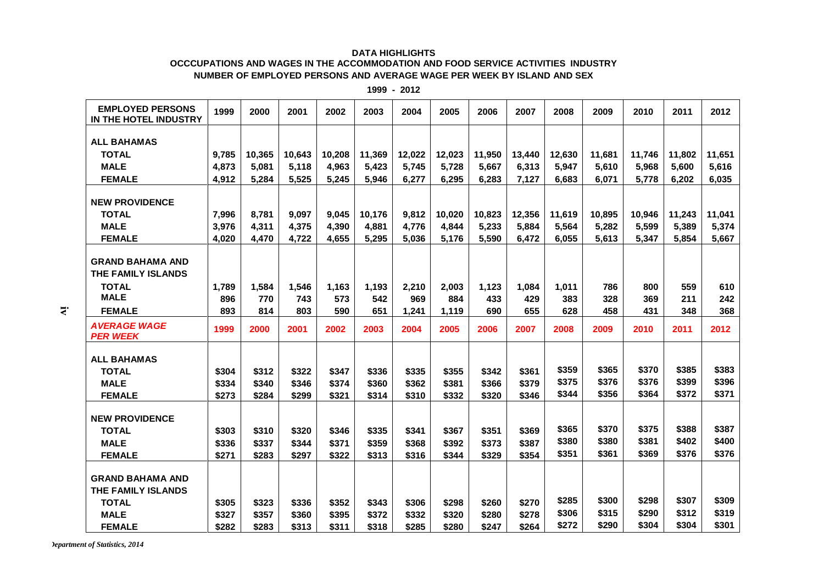### **DATA HIGHLIGHTS**

### **OCCCUPATIONS AND WAGES IN THE ACCOMMODATION AND FOOD SERVICE ACTIVITIES INDUSTRY NUMBER OF EMPLOYED PERSONS AND AVERAGE WAGE PER WEEK BY ISLAND AND SEX**

| <b>EMPLOYED PERSONS</b><br>IN THE HOTEL INDUSTRY | 1999  | 2000   | 2001   | 2002   | 2003   | 2004   | 2005   | 2006   | 2007   | 2008   | 2009   | 2010   | 2011   | 2012   |
|--------------------------------------------------|-------|--------|--------|--------|--------|--------|--------|--------|--------|--------|--------|--------|--------|--------|
|                                                  |       |        |        |        |        |        |        |        |        |        |        |        |        |        |
| <b>ALL BAHAMAS</b>                               |       |        |        |        |        |        |        |        |        |        |        |        |        |        |
| <b>TOTAL</b>                                     | 9,785 | 10,365 | 10,643 | 10,208 | 11,369 | 12,022 | 12,023 | 11.950 | 13,440 | 12,630 | 11,681 | 11.746 | 11,802 | 11,651 |
| <b>MALE</b>                                      | 4,873 | 5,081  | 5,118  | 4,963  | 5,423  | 5,745  | 5,728  | 5,667  | 6,313  | 5,947  | 5,610  | 5,968  | 5,600  | 5,616  |
| <b>FEMALE</b>                                    | 4,912 | 5,284  | 5,525  | 5,245  | 5,946  | 6,277  | 6,295  | 6,283  | 7,127  | 6,683  | 6,071  | 5,778  | 6,202  | 6,035  |
| <b>NEW PROVIDENCE</b>                            |       |        |        |        |        |        |        |        |        |        |        |        |        |        |
|                                                  |       |        |        |        |        |        |        |        |        |        |        |        |        |        |
| <b>TOTAL</b>                                     | 7,996 | 8,781  | 9,097  | 9,045  | 10,176 | 9,812  | 10,020 | 10,823 | 12,356 | 11,619 | 10,895 | 10,946 | 11,243 | 11,041 |
| <b>MALE</b>                                      | 3,976 | 4,311  | 4,375  | 4,390  | 4,881  | 4,776  | 4,844  | 5,233  | 5,884  | 5,564  | 5,282  | 5,599  | 5,389  | 5,374  |
| <b>FEMALE</b>                                    | 4,020 | 4,470  | 4,722  | 4,655  | 5,295  | 5,036  | 5,176  | 5,590  | 6,472  | 6,055  | 5,613  | 5,347  | 5,854  | 5,667  |
| <b>GRAND BAHAMA AND</b><br>THE FAMILY ISLANDS    |       |        |        |        |        |        |        |        |        |        |        |        |        |        |
| <b>TOTAL</b>                                     | 1,789 | 1,584  | 1,546  | 1,163  | 1,193  | 2,210  | 2,003  | 1,123  | 1,084  | 1,011  | 786    | 800    | 559    | 610    |
| <b>MALE</b>                                      | 896   | 770    | 743    | 573    | 542    | 969    | 884    | 433    | 429    | 383    | 328    | 369    | 211    | 242    |
| <b>FEMALE</b>                                    | 893   | 814    | 803    | 590    | 651    | 1,241  | 1,119  | 690    | 655    | 628    | 458    | 431    | 348    | 368    |
| <b>AVERAGE WAGE</b><br><b>PER WEEK</b>           | 1999  | 2000   | 2001   | 2002   | 2003   | 2004   | 2005   | 2006   | 2007   | 2008   | 2009   | 2010   | 2011   | 2012   |
|                                                  |       |        |        |        |        |        |        |        |        |        |        |        |        |        |
| <b>ALL BAHAMAS</b>                               |       |        |        |        |        |        |        |        |        |        |        |        |        |        |
| <b>TOTAL</b>                                     | \$304 | \$312  | \$322  | \$347  | \$336  | \$335  | \$355  | \$342  | \$361  | \$359  | \$365  | \$370  | \$385  | \$383  |
| <b>MALE</b>                                      | \$334 | \$340  | \$346  | \$374  | \$360  | \$362  | \$381  | \$366  | \$379  | \$375  | \$376  | \$376  | \$399  | \$396  |
| <b>FEMALE</b>                                    | \$273 | \$284  | \$299  | \$321  | \$314  | \$310  | \$332  | \$320  | \$346  | \$344  | \$356  | \$364  | \$372  | \$371  |
| <b>NEW PROVIDENCE</b>                            |       |        |        |        |        |        |        |        |        |        |        |        |        |        |
| <b>TOTAL</b>                                     | \$303 | \$310  | \$320  | \$346  | \$335  | \$341  | \$367  | \$351  | \$369  | \$365  | \$370  | \$375  | \$388  | \$387  |
| <b>MALE</b>                                      | \$336 | \$337  | \$344  | \$371  | \$359  | \$368  | \$392  | \$373  | \$387  | \$380  | \$380  | \$381  | \$402  | \$400  |
| <b>FEMALE</b>                                    | \$271 | \$283  | \$297  | \$322  | \$313  | \$316  | \$344  | \$329  | \$354  | \$351  | \$361  | \$369  | \$376  | \$376  |
|                                                  |       |        |        |        |        |        |        |        |        |        |        |        |        |        |
| <b>GRAND BAHAMA AND</b>                          |       |        |        |        |        |        |        |        |        |        |        |        |        |        |
| THE FAMILY ISLANDS                               |       |        |        |        |        |        |        |        |        |        |        |        |        |        |
| <b>TOTAL</b>                                     | \$305 | \$323  | \$336  | \$352  | \$343  | \$306  | \$298  | \$260  | \$270  | \$285  | \$300  | \$298  | \$307  | \$309  |
| <b>MALE</b>                                      | \$327 | \$357  | \$360  | \$395  | \$372  | \$332  | \$320  | \$280  | \$278  | \$306  | \$315  | \$290  | \$312  | \$319  |
|                                                  | \$282 | \$283  | \$313  | \$311  | \$318  | \$285  |        | \$247  |        | \$272  | \$290  | \$304  | \$304  | \$301  |
| <b>FEMALE</b>                                    |       |        |        |        |        |        | \$280  |        | \$264  |        |        |        |        |        |

**1999 - 2012**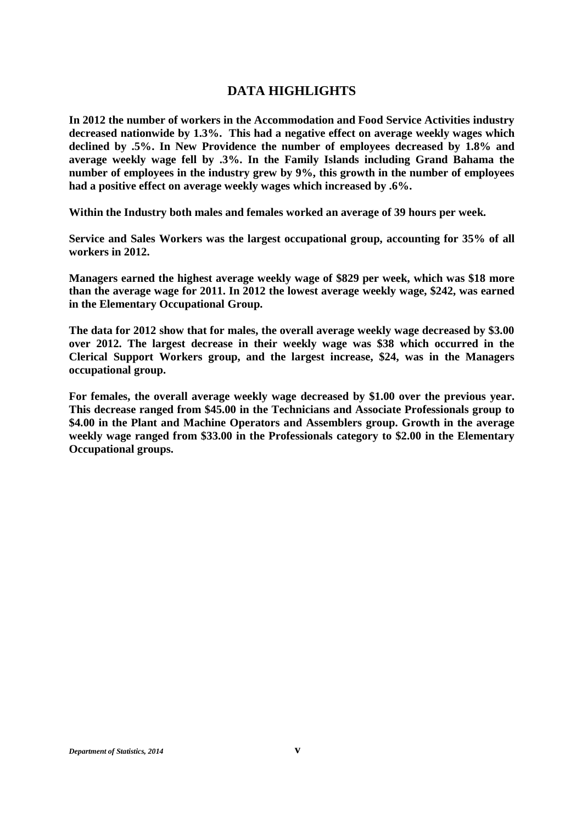# **DATA HIGHLIGHTS**

**In 2012 the number of workers in the Accommodation and Food Service Activities industry decreased nationwide by 1.3%. This had a negative effect on average weekly wages which declined by .5%. In New Providence the number of employees decreased by 1.8% and average weekly wage fell by .3%. In the Family Islands including Grand Bahama the number of employees in the industry grew by 9%, this growth in the number of employees had a positive effect on average weekly wages which increased by .6%.**

**Within the Industry both males and females worked an average of 39 hours per week.**

**Service and Sales Workers was the largest occupational group, accounting for 35% of all workers in 2012.**

**Managers earned the highest average weekly wage of \$829 per week, which was \$18 more than the average wage for 2011. In 2012 the lowest average weekly wage, \$242, was earned in the Elementary Occupational Group.**

**The data for 2012 show that for males, the overall average weekly wage decreased by \$3.00 over 2012. The largest decrease in their weekly wage was \$38 which occurred in the Clerical Support Workers group, and the largest increase, \$24, was in the Managers occupational group.**

**For females, the overall average weekly wage decreased by \$1.00 over the previous year. This decrease ranged from \$45.00 in the Technicians and Associate Professionals group to \$4.00 in the Plant and Machine Operators and Assemblers group. Growth in the average weekly wage ranged from \$33.00 in the Professionals category to \$2.00 in the Elementary Occupational groups.**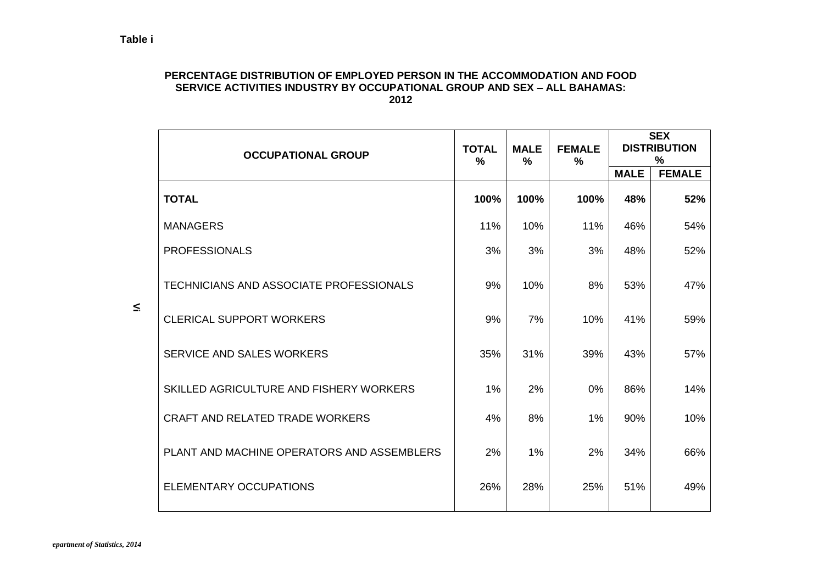## **PERCENTAGE DISTRIBUTION OF EMPLOYED PERSON IN THE ACCOMMODATION AND FOOD SERVICE ACTIVITIES INDUSTRY BY OCCUPATIONAL GROUP AND SEX –ALL BAHAMAS: 2012**

| <b>OCCUPATIONAL GROUP</b>                      | <b>TOTAL</b><br>$\frac{0}{0}$ | <b>MALE</b><br>$\frac{0}{0}$ | <b>FEMALE</b><br>$\frac{0}{0}$ |             | <b>SEX</b><br><b>DISTRIBUTION</b><br>$\%$ |  |  |
|------------------------------------------------|-------------------------------|------------------------------|--------------------------------|-------------|-------------------------------------------|--|--|
|                                                |                               |                              |                                | <b>MALE</b> | <b>FEMALE</b>                             |  |  |
| <b>TOTAL</b>                                   | 100%                          | 100%                         | 100%                           | 48%         | 52%                                       |  |  |
| <b>MANAGERS</b>                                | 11%                           | 10%                          | 11%                            | 46%         | 54%                                       |  |  |
| <b>PROFESSIONALS</b>                           | 3%                            | 3%                           | 3%                             | 48%         | 52%                                       |  |  |
| <b>TECHNICIANS AND ASSOCIATE PROFESSIONALS</b> | 9%                            | 10%                          | 8%                             | 53%         | 47%                                       |  |  |
| <b>CLERICAL SUPPORT WORKERS</b>                | 9%                            | 7%                           | 10%                            | 41%         | 59%                                       |  |  |
| SERVICE AND SALES WORKERS                      | 35%                           | 31%                          | 39%                            | 43%         | 57%                                       |  |  |
| SKILLED AGRICULTURE AND FISHERY WORKERS        | 1%                            | 2%                           | 0%                             | 86%         | 14%                                       |  |  |
| <b>CRAFT AND RELATED TRADE WORKERS</b>         | 4%                            | 8%                           | 1%                             | 90%         | 10%                                       |  |  |
| PLANT AND MACHINE OPERATORS AND ASSEMBLERS     | 2%                            | $1\%$                        | 2%                             | 34%         | 66%                                       |  |  |
| <b>ELEMENTARY OCCUPATIONS</b>                  | 26%                           | 28%                          | 25%                            | 51%         | 49%                                       |  |  |

 $\leq$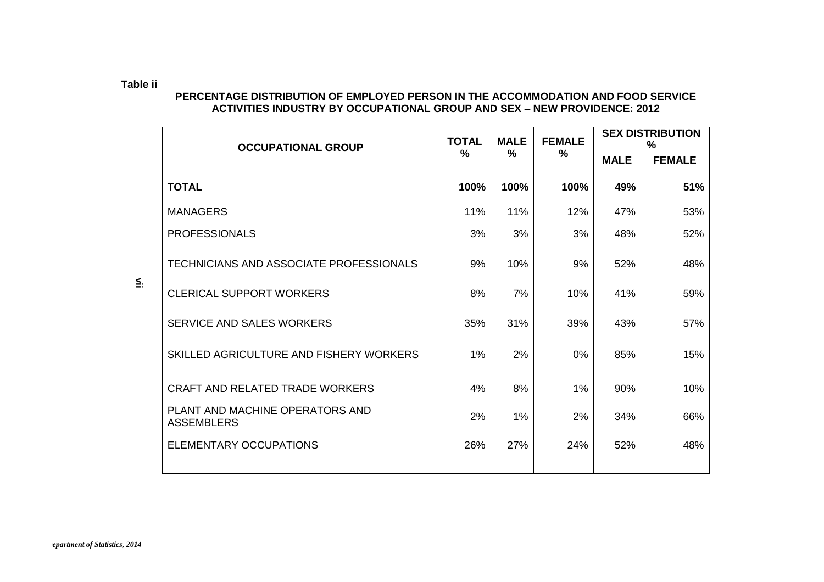# **PERCENTAGE DISTRIBUTION OF EMPLOYED PERSON IN THE ACCOMMODATION AND FOOD SERVICE ACTIVITIES INDUSTRY BY OCCUPATIONAL GROUP AND SEX –NEW PROVIDENCE: 2012**

| <b>OCCUPATIONAL GROUP</b>                            | <b>TOTAL</b> | <b>MALE</b> | <b>FEMALE</b> |             | <b>SEX DISTRIBUTION</b><br>$\%$ |
|------------------------------------------------------|--------------|-------------|---------------|-------------|---------------------------------|
|                                                      | %            | %           | %             | <b>MALE</b> | <b>FEMALE</b>                   |
| <b>TOTAL</b>                                         | 100%         | 100%        | 100%          | 49%         | 51%                             |
| <b>MANAGERS</b>                                      | 11%          | 11%         | 12%           | 47%         | 53%                             |
| <b>PROFESSIONALS</b>                                 | 3%           | 3%          | 3%            | 48%         | 52%                             |
| <b>TECHNICIANS AND ASSOCIATE PROFESSIONALS</b>       | 9%           | 10%         | 9%            | 52%         | 48%                             |
| <b>CLERICAL SUPPORT WORKERS</b>                      | 8%           | 7%          | 10%           | 41%         | 59%                             |
| SERVICE AND SALES WORKERS                            | 35%          | 31%         | 39%           | 43%         | 57%                             |
| SKILLED AGRICULTURE AND FISHERY WORKERS              | $1\%$        | 2%          | 0%            | 85%         | 15%                             |
| <b>CRAFT AND RELATED TRADE WORKERS</b>               | 4%           | 8%          | 1%            | 90%         | 10%                             |
| PLANT AND MACHINE OPERATORS AND<br><b>ASSEMBLERS</b> | 2%           | 1%          | 2%            | 34%         | 66%                             |
| <b>ELEMENTARY OCCUPATIONS</b>                        | 26%          | 27%         | 24%           | 52%         | 48%                             |

 $\leq$ 

**Table ii**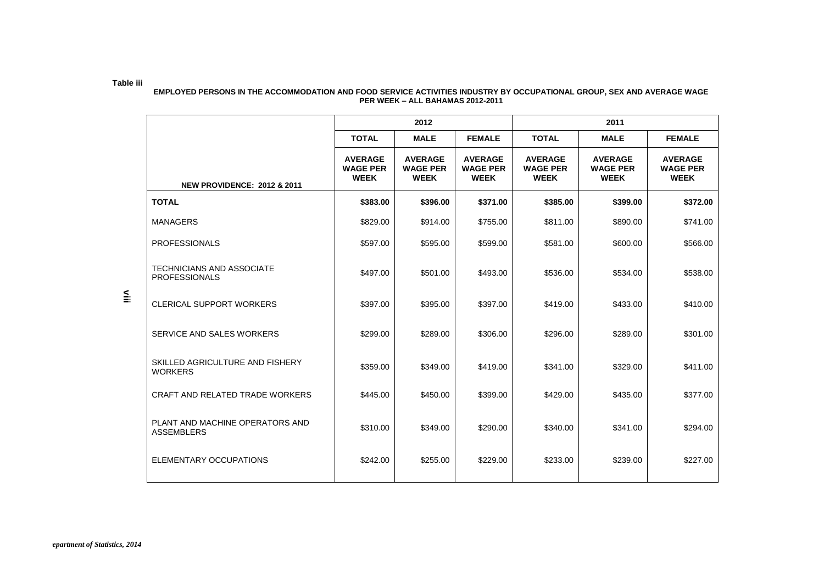#### **Table iii EMPLOYED PERSONS IN THE ACCOMMODATION AND FOOD SERVICE ACTIVITIES INDUSTRY BY OCCUPATIONAL GROUP, SEX AND AVERAGE WAGE PER WEEK –ALL BAHAMAS 2012-2011**

|                                                          |                                                  | 2012                                             |                                                  | 2011                                             |                                                  |                                                  |  |  |  |
|----------------------------------------------------------|--------------------------------------------------|--------------------------------------------------|--------------------------------------------------|--------------------------------------------------|--------------------------------------------------|--------------------------------------------------|--|--|--|
|                                                          | <b>TOTAL</b>                                     | <b>MALE</b>                                      | <b>FEMALE</b>                                    | <b>TOTAL</b>                                     | <b>MALE</b>                                      | <b>FEMALE</b>                                    |  |  |  |
| <b>NEW PROVIDENCE: 2012 &amp; 2011</b>                   | <b>AVERAGE</b><br><b>WAGE PER</b><br><b>WEEK</b> | <b>AVERAGE</b><br><b>WAGE PER</b><br><b>WEEK</b> | <b>AVERAGE</b><br><b>WAGE PER</b><br><b>WEEK</b> | <b>AVERAGE</b><br><b>WAGE PER</b><br><b>WEEK</b> | <b>AVERAGE</b><br><b>WAGE PER</b><br><b>WEEK</b> | <b>AVERAGE</b><br><b>WAGE PER</b><br><b>WEEK</b> |  |  |  |
| <b>TOTAL</b>                                             | \$383.00                                         | \$396.00                                         | \$371.00                                         | \$385.00                                         | \$399.00                                         | \$372.00                                         |  |  |  |
| <b>MANAGERS</b>                                          | \$829.00                                         | \$914.00                                         | \$755.00                                         | \$811.00                                         | \$890.00                                         | \$741.00                                         |  |  |  |
| <b>PROFESSIONALS</b>                                     | \$597.00                                         | \$595.00                                         | \$599.00                                         | \$581.00                                         | \$600.00                                         | \$566.00                                         |  |  |  |
| <b>TECHNICIANS AND ASSOCIATE</b><br><b>PROFESSIONALS</b> | \$497.00                                         | \$501.00                                         | \$493.00                                         | \$536.00                                         | \$534.00                                         | \$538.00                                         |  |  |  |
| <b>CLERICAL SUPPORT WORKERS</b>                          | \$397.00                                         | \$395.00                                         | \$397.00                                         | \$419.00                                         | \$433.00                                         | \$410.00                                         |  |  |  |
| SERVICE AND SALES WORKERS                                | \$299.00                                         | \$289.00                                         | \$306.00                                         | \$296.00                                         | \$289.00                                         | \$301.00                                         |  |  |  |
| SKILLED AGRICULTURE AND FISHERY<br><b>WORKERS</b>        | \$359.00                                         | \$349.00                                         | \$419.00                                         | \$341.00                                         | \$329.00                                         | \$411.00                                         |  |  |  |
| CRAFT AND RELATED TRADE WORKERS                          | \$445.00                                         | \$450.00                                         | \$399.00                                         | \$429.00                                         | \$435.00                                         | \$377.00                                         |  |  |  |
| PLANT AND MACHINE OPERATORS AND<br><b>ASSEMBLERS</b>     | \$310.00                                         | \$349.00                                         | \$290.00                                         | \$340.00                                         | \$341.00                                         | \$294.00                                         |  |  |  |
| ELEMENTARY OCCUPATIONS                                   | \$242.00                                         | \$255.00                                         | \$229.00                                         | \$233.00                                         | \$239.00                                         | \$227.00                                         |  |  |  |

 $\leq$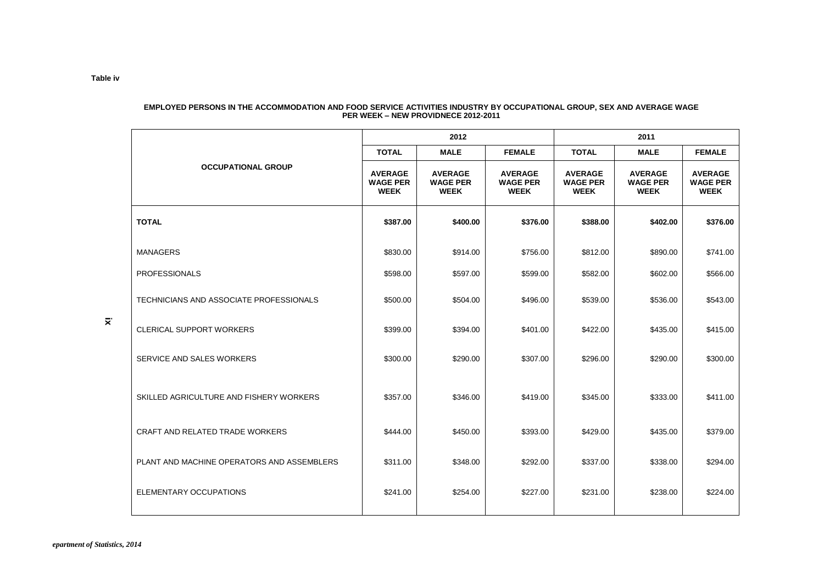|                                            |                                                  | 2012                                             |                                                  | 2011                                             |                                                  |                                                  |  |  |  |
|--------------------------------------------|--------------------------------------------------|--------------------------------------------------|--------------------------------------------------|--------------------------------------------------|--------------------------------------------------|--------------------------------------------------|--|--|--|
|                                            | <b>TOTAL</b>                                     | <b>MALE</b>                                      | <b>FEMALE</b>                                    | <b>TOTAL</b>                                     | <b>MALE</b>                                      | <b>FEMALE</b>                                    |  |  |  |
| <b>OCCUPATIONAL GROUP</b>                  | <b>AVERAGE</b><br><b>WAGE PER</b><br><b>WEEK</b> | <b>AVERAGE</b><br><b>WAGE PER</b><br><b>WEEK</b> | <b>AVERAGE</b><br><b>WAGE PER</b><br><b>WEEK</b> | <b>AVERAGE</b><br><b>WAGE PER</b><br><b>WEEK</b> | <b>AVERAGE</b><br><b>WAGE PER</b><br><b>WEEK</b> | <b>AVERAGE</b><br><b>WAGE PER</b><br><b>WEEK</b> |  |  |  |
| <b>TOTAL</b>                               | \$387.00                                         | \$400.00                                         | \$376.00                                         | \$388.00                                         | \$402.00                                         | \$376.00                                         |  |  |  |
| <b>MANAGERS</b>                            | \$830.00                                         | \$914.00                                         | \$756.00                                         | \$812.00                                         | \$890.00                                         | \$741.00                                         |  |  |  |
| <b>PROFESSIONALS</b>                       | \$598.00                                         | \$597.00                                         | \$599.00                                         | \$582.00                                         | \$602.00                                         | \$566.00                                         |  |  |  |
| TECHNICIANS AND ASSOCIATE PROFESSIONALS    | \$500.00                                         | \$504.00                                         | \$496.00                                         | \$539.00                                         | \$536.00                                         | \$543.00                                         |  |  |  |
| <b>CLERICAL SUPPORT WORKERS</b>            | \$399.00                                         | \$394.00                                         | \$401.00                                         | \$422.00                                         | \$435.00                                         | \$415.00                                         |  |  |  |
| SERVICE AND SALES WORKERS                  | \$300.00                                         | \$290.00                                         | \$307.00                                         | \$296.00                                         | \$290.00                                         | \$300.00                                         |  |  |  |
| SKILLED AGRICULTURE AND FISHERY WORKERS    | \$357.00                                         | \$346.00                                         | \$419.00                                         | \$345.00                                         | \$333.00                                         | \$411.00                                         |  |  |  |
| CRAFT AND RELATED TRADE WORKERS            | \$444.00                                         | \$450.00                                         | \$393.00                                         | \$429.00                                         | \$435.00                                         | \$379.00                                         |  |  |  |
| PLANT AND MACHINE OPERATORS AND ASSEMBLERS | \$311.00                                         | \$348.00                                         | \$292.00                                         | \$337.00                                         | \$338.00                                         | \$294.00                                         |  |  |  |
| ELEMENTARY OCCUPATIONS                     | \$241.00                                         | \$254.00                                         | \$227.00                                         | \$231.00                                         | \$238.00                                         | \$224.00                                         |  |  |  |

#### **EMPLOYED PERSONS IN THE ACCOMMODATION AND FOOD SERVICE ACTIVITIES INDUSTRY BY OCCUPATIONAL GROUP, SEX AND AVERAGE WAGE PER WEEK –NEW PROVIDNECE 2012-2011**

**Table iv**

**ix**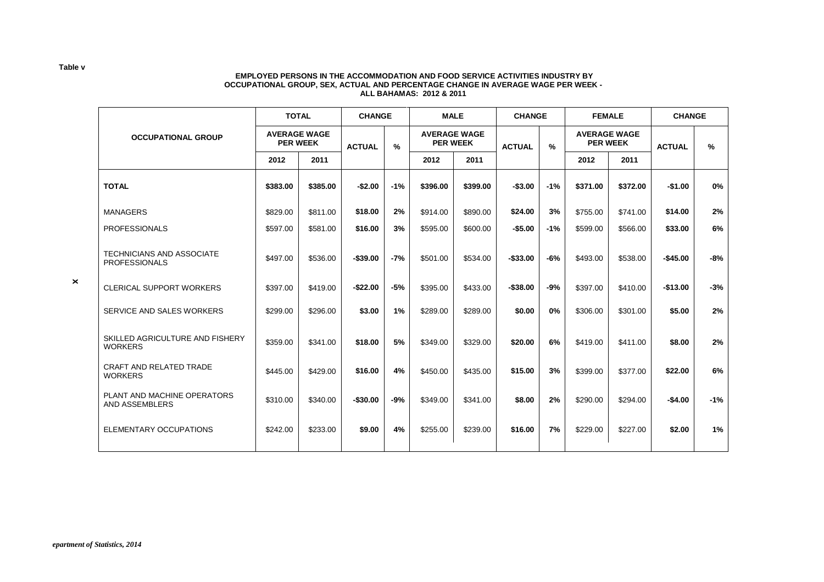#### **EMPLOYED PERSONS IN THE ACCOMMODATION AND FOOD SERVICE ACTIVITIES INDUSTRY BY OCCUPATIONAL GROUP, SEX, ACTUAL AND PERCENTAGE CHANGE IN AVERAGE WAGE PER WEEK - ALL BAHAMAS: 2012 & 2011**

|          |          | <b>ACTUAL</b>                                          | $\frac{9}{6}$ |               |          | <b>ACTUAL</b>                                         | $\frac{9}{6}$ |               |          | <b>ACTUAL</b>                                           | %             |
|----------|----------|--------------------------------------------------------|---------------|---------------|----------|-------------------------------------------------------|---------------|---------------|----------|---------------------------------------------------------|---------------|
| 2012     | 2011     |                                                        |               | 2012          | 2011     |                                                       |               | 2012          | 2011     |                                                         |               |
| \$383.00 | \$385.00 | $-$2.00$                                               | $-1%$         | \$396.00      | \$399.00 | $-$3.00$                                              | $-1%$         | \$371.00      | \$372.00 | $-$1.00$                                                | 0%            |
| \$829.00 | \$811.00 | \$18.00                                                | 2%            | \$914.00      | \$890.00 | \$24.00                                               | 3%            | \$755.00      | \$741.00 | \$14.00                                                 | 2%            |
| \$597.00 | \$581.00 | \$16.00                                                | 3%            | \$595.00      | \$600.00 | $-$5.00$                                              | $-1%$         | \$599.00      | \$566.00 | \$33.00                                                 | 6%            |
| \$497.00 | \$536.00 | $-$39.00$                                              | $-7%$         | \$501.00      | \$534.00 | $-$33.00$                                             | $-6%$         | \$493.00      | \$538.00 | $-$45.00$                                               | $-8%$         |
| \$397.00 | \$419.00 | $-$22.00$                                              | $-5%$         | \$395.00      | \$433.00 | $-$38.00$                                             | $-9%$         | \$397.00      | \$410.00 | $-$13.00$                                               | $-3%$         |
| \$299.00 | \$296.00 | \$3.00                                                 | 1%            | \$289.00      | \$289.00 | \$0.00                                                | 0%            | \$306.00      | \$301.00 | \$5.00                                                  | 2%            |
| \$359.00 | \$341.00 | \$18.00                                                | 5%            | \$349.00      | \$329.00 | \$20.00                                               | 6%            | \$419.00      | \$411.00 | \$8.00                                                  | 2%            |
| \$445.00 | \$429.00 | \$16.00                                                | 4%            | \$450.00      | \$435.00 | \$15.00                                               | 3%            | \$399.00      | \$377.00 | \$22.00                                                 | 6%            |
| \$310.00 | \$340.00 | $-$30.00$                                              | $-9%$         | \$349.00      | \$341.00 | \$8.00                                                | 2%            | \$290.00      | \$294.00 | $-$4.00$                                                | $-1%$         |
| \$242.00 | \$233.00 | \$9.00                                                 | 4%            | \$255.00      | \$239.00 | \$16.00                                               | 7%            | \$229.00      | \$227.00 | \$2.00                                                  | 1%            |
|          |          | <b>TOTAL</b><br><b>AVERAGE WAGE</b><br><b>PER WEEK</b> |               | <b>CHANGE</b> |          | <b>MALE</b><br><b>AVERAGE WAGE</b><br><b>PER WEEK</b> |               | <b>CHANGE</b> |          | <b>FEMALE</b><br><b>AVERAGE WAGE</b><br><b>PER WEEK</b> | <b>CHANGE</b> |

**Table v**

**x**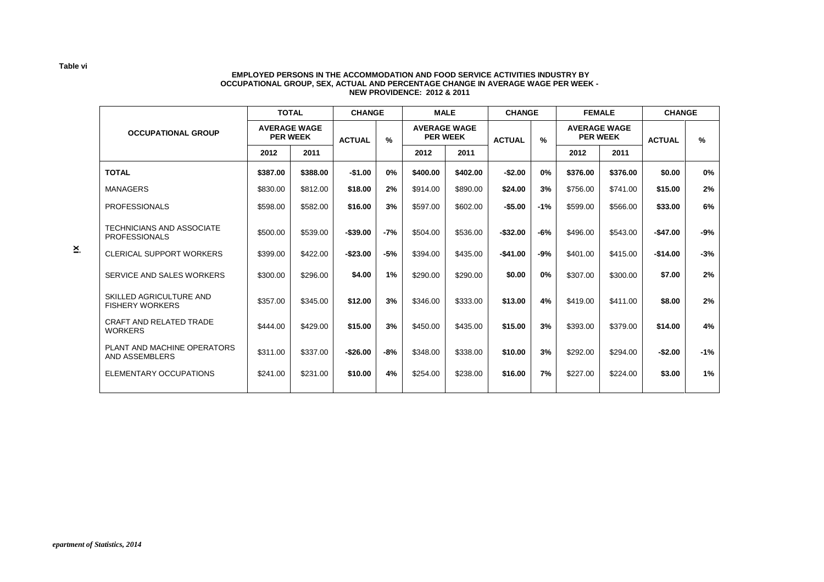#### **EMPLOYED PERSONS IN THE ACCOMMODATION AND FOOD SERVICE ACTIVITIES INDUSTRY BY OCCUPATIONAL GROUP, SEX, ACTUAL AND PERCENTAGE CHANGE IN AVERAGE WAGE PER WEEK - NEW PROVIDENCE: 2012 & 2011**

|                                                          |                 | <b>TOTAL</b>        |                                                                                                                                             | <b>CHANGE</b> |          | <b>MALE</b>   |             | <b>CHANGE</b> | <b>FEMALE</b> |          | <b>CHANGE</b> |       |
|----------------------------------------------------------|-----------------|---------------------|---------------------------------------------------------------------------------------------------------------------------------------------|---------------|----------|---------------|-------------|---------------|---------------|----------|---------------|-------|
| <b>OCCUPATIONAL GROUP</b>                                | <b>PER WEEK</b> | <b>AVERAGE WAGE</b> | <b>AVERAGE WAGE</b><br><b>AVERAGE WAGE</b><br><b>PER WEEK</b><br><b>PER WEEK</b><br>$\%$<br>$\frac{9}{6}$<br><b>ACTUAL</b><br><b>ACTUAL</b> |               |          | <b>ACTUAL</b> | $\%$        |               |               |          |               |       |
|                                                          | 2012            | 2011                |                                                                                                                                             |               | 2012     | 2011          |             | 2012          |               | 2011     |               |       |
| <b>TOTAL</b>                                             | \$387.00        | \$388.00            | $-$1.00$                                                                                                                                    | 0%            | \$400.00 | \$402.00      | $-$2.00$    | 0%            | \$376.00      | \$376.00 | \$0.00        | 0%    |
| <b>MANAGERS</b>                                          | \$830.00        | \$812.00            | \$18.00                                                                                                                                     | 2%            | \$914.00 | \$890.00      | \$24.00     | 3%            | \$756.00      | \$741.00 | \$15.00       | 2%    |
| <b>PROFESSIONALS</b>                                     | \$598.00        | \$582.00            | \$16.00                                                                                                                                     | 3%            | \$597.00 | \$602.00      | $-$5.00$    | $-1%$         | \$599.00      | \$566.00 | \$33.00       | 6%    |
| <b>TECHNICIANS AND ASSOCIATE</b><br><b>PROFESSIONALS</b> | \$500.00        | \$539.00            | $-$39.00$                                                                                                                                   | -7%           | \$504.00 | \$536.00      | $-$ \$32.00 | -6%           | \$496.00      | \$543.00 | $-$47.00$     | -9%   |
| <b>CLERICAL SUPPORT WORKERS</b>                          | \$399.00        | \$422.00            | $-$23.00$                                                                                                                                   | -5%           | \$394.00 | \$435.00      | $-$41.00$   | -9%           | \$401.00      | \$415.00 | $-$14.00$     | $-3%$ |
| SERVICE AND SALES WORKERS                                | \$300.00        | \$296.00            | \$4.00                                                                                                                                      | 1%            | \$290.00 | \$290.00      | \$0.00      | 0%            | \$307.00      | \$300.00 | \$7.00        | 2%    |
| SKILLED AGRICULTURE AND<br><b>FISHERY WORKERS</b>        | \$357.00        | \$345.00            | \$12.00                                                                                                                                     | 3%            | \$346.00 | \$333.00      | \$13.00     | 4%            | \$419.00      | \$411.00 | \$8.00        | 2%    |
| <b>CRAFT AND RELATED TRADE</b><br><b>WORKERS</b>         | \$444.00        | \$429.00            | \$15.00                                                                                                                                     | 3%            | \$450.00 | \$435.00      | \$15.00     | 3%            | \$393.00      | \$379.00 | \$14.00       | 4%    |
| PLANT AND MACHINE OPERATORS<br>AND ASSEMBLERS            | \$311.00        | \$337.00            | $-$26.00$                                                                                                                                   | -8%           | \$348.00 | \$338.00      | \$10.00     | 3%            | \$292.00      | \$294.00 | $-$2.00$      | $-1%$ |
| ELEMENTARY OCCUPATIONS                                   | \$241.00        | \$231.00            | \$10.00                                                                                                                                     | 4%            | \$254.00 | \$238.00      | \$16.00     | 7%            | \$227.00      | \$224.00 | \$3.00        | 1%    |
|                                                          |                 |                     |                                                                                                                                             |               |          |               |             |               |               |          |               |       |

**xi**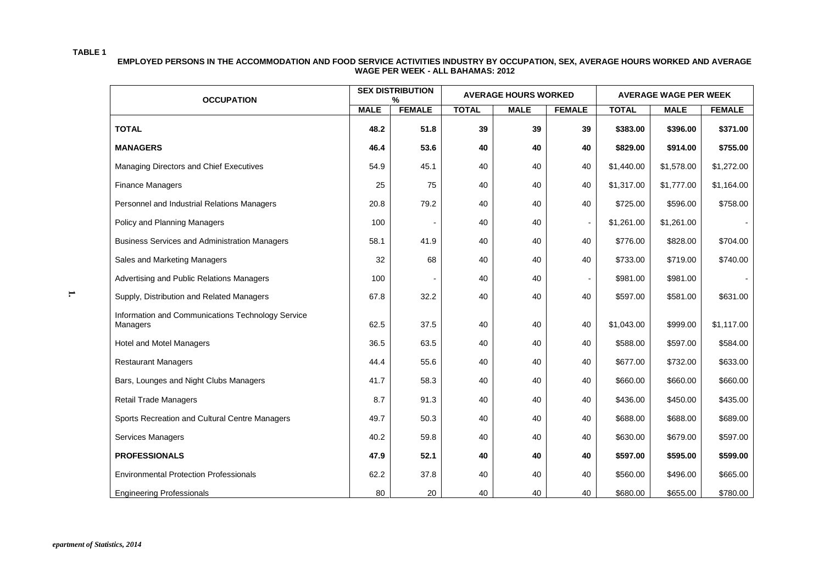#### **TABLE 1**

**EMPLOYED PERSONS IN THE ACCOMMODATION AND FOOD SERVICE ACTIVITIES INDUSTRY BY OCCUPATION, SEX, AVERAGE HOURS WORKED AND AVERAGE WAGE PER WEEK - ALL BAHAMAS: 2012**

| <b>OCCUPATION</b>                                             |             | <b>SEX DISTRIBUTION</b><br>$\frac{9}{6}$ |              | <b>AVERAGE HOURS WORKED</b> |               | <b>AVERAGE WAGE PER WEEK</b> |             |               |  |
|---------------------------------------------------------------|-------------|------------------------------------------|--------------|-----------------------------|---------------|------------------------------|-------------|---------------|--|
|                                                               | <b>MALE</b> | <b>FEMALE</b>                            | <b>TOTAL</b> | <b>MALE</b>                 | <b>FEMALE</b> | <b>TOTAL</b>                 | <b>MALE</b> | <b>FEMALE</b> |  |
| <b>TOTAL</b>                                                  | 48.2        | 51.8                                     | 39           | 39                          | 39            | \$383.00                     | \$396.00    | \$371.00      |  |
| <b>MANAGERS</b>                                               | 46.4        | 53.6                                     | 40           | 40                          | 40            | \$829.00                     | \$914.00    | \$755.00      |  |
| Managing Directors and Chief Executives                       | 54.9        | 45.1                                     | 40           | 40                          | 40            | \$1,440.00                   | \$1,578.00  | \$1,272.00    |  |
| <b>Finance Managers</b>                                       | 25          | 75                                       | 40           | 40                          | 40            | \$1,317.00                   | \$1,777.00  | \$1,164.00    |  |
| Personnel and Industrial Relations Managers                   | 20.8        | 79.2                                     | 40           | 40                          | 40            | \$725.00                     | \$596.00    | \$758.00      |  |
| Policy and Planning Managers                                  | 100         |                                          | 40           | 40                          |               | \$1,261.00                   | \$1,261.00  |               |  |
| <b>Business Services and Administration Managers</b>          | 58.1        | 41.9                                     | 40           | 40                          | 40            | \$776.00                     | \$828.00    | \$704.00      |  |
| Sales and Marketing Managers                                  | 32          | 68                                       | 40           | 40                          | 40            | \$733.00                     | \$719.00    | \$740.00      |  |
| Advertising and Public Relations Managers                     | 100         |                                          | 40           | 40                          |               | \$981.00                     | \$981.00    |               |  |
| Supply, Distribution and Related Managers                     | 67.8        | 32.2                                     | 40           | 40                          | 40            | \$597.00                     | \$581.00    | \$631.00      |  |
| Information and Communications Technology Service<br>Managers | 62.5        | 37.5                                     | 40           | 40                          | 40            | \$1,043.00                   | \$999.00    | \$1,117.00    |  |
| <b>Hotel and Motel Managers</b>                               | 36.5        | 63.5                                     | 40           | 40                          | 40            | \$588.00                     | \$597.00    | \$584.00      |  |
| <b>Restaurant Managers</b>                                    | 44.4        | 55.6                                     | 40           | 40                          | 40            | \$677.00                     | \$732.00    | \$633.00      |  |
| Bars, Lounges and Night Clubs Managers                        | 41.7        | 58.3                                     | 40           | 40                          | 40            | \$660.00                     | \$660.00    | \$660.00      |  |
| <b>Retail Trade Managers</b>                                  | 8.7         | 91.3                                     | 40           | 40                          | 40            | \$436.00                     | \$450.00    | \$435.00      |  |
| Sports Recreation and Cultural Centre Managers                | 49.7        | 50.3                                     | 40           | 40                          | 40            | \$688.00                     | \$688.00    | \$689.00      |  |
| Services Managers                                             | 40.2        | 59.8                                     | 40           | 40                          | 40            | \$630.00                     | \$679.00    | \$597.00      |  |
| <b>PROFESSIONALS</b>                                          | 47.9        | 52.1                                     | 40           | 40                          | 40            | \$597.00                     | \$595.00    | \$599.00      |  |
| <b>Environmental Protection Professionals</b>                 | 62.2        | 37.8                                     | 40           | 40                          | 40            | \$560.00                     | \$496.00    | \$665.00      |  |
| <b>Engineering Professionals</b>                              | 80          | 20                                       | 40           | 40                          | 40            | \$680.00                     | \$655.00    | \$780.00      |  |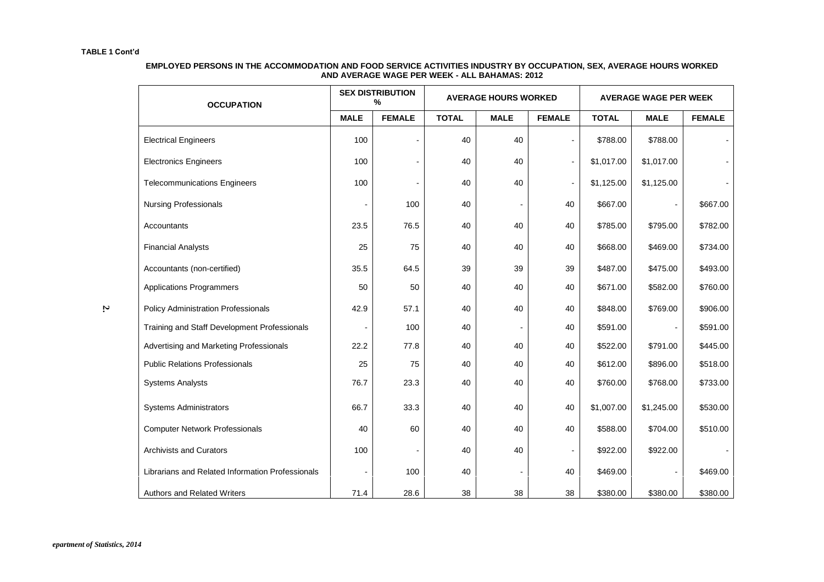#### **EMPLOYED PERSONS IN THE ACCOMMODATION AND FOOD SERVICE ACTIVITIES INDUSTRY BY OCCUPATION, SEX, AVERAGE HOURS WORKED AND AVERAGE WAGE PER WEEK - ALL BAHAMAS: 2012**

| <b>OCCUPATION</b>                                |             | <b>SEX DISTRIBUTION</b><br>% |              | <b>AVERAGE HOURS WORKED</b> |                          | <b>AVERAGE WAGE PER WEEK</b> |                |               |  |
|--------------------------------------------------|-------------|------------------------------|--------------|-----------------------------|--------------------------|------------------------------|----------------|---------------|--|
|                                                  | <b>MALE</b> | <b>FEMALE</b>                | <b>TOTAL</b> | <b>MALE</b>                 | <b>FEMALE</b>            | <b>TOTAL</b>                 | <b>MALE</b>    | <b>FEMALE</b> |  |
| <b>Electrical Engineers</b>                      | 100         |                              | 40           | 40                          | $\blacksquare$           | \$788.00                     | \$788.00       |               |  |
| <b>Electronics Engineers</b>                     | 100         |                              | 40           | 40                          | $\blacksquare$           | \$1,017.00                   | \$1,017.00     |               |  |
| <b>Telecommunications Engineers</b>              | 100         |                              | 40           | 40                          | $\overline{a}$           | \$1,125.00                   | \$1,125.00     |               |  |
| <b>Nursing Professionals</b>                     |             | 100                          | 40           |                             | 40                       | \$667.00                     |                | \$667.00      |  |
| Accountants                                      | 23.5        | 76.5                         | 40           | 40                          | 40                       | \$785.00                     | \$795.00       | \$782.00      |  |
| <b>Financial Analysts</b>                        | 25          | 75                           | 40           | 40                          | 40                       | \$668.00                     | \$469.00       | \$734.00      |  |
| Accountants (non-certified)                      | 35.5        | 64.5                         | 39           | 39                          | 39                       | \$487.00                     | \$475.00       | \$493.00      |  |
| <b>Applications Programmers</b>                  | 50          | 50                           | 40           | 40                          | 40                       | \$671.00                     | \$582.00       | \$760.00      |  |
| <b>Policy Administration Professionals</b>       | 42.9        | 57.1                         | 40           | 40                          | 40                       | \$848.00                     | \$769.00       | \$906.00      |  |
| Training and Staff Development Professionals     |             | 100                          | 40           |                             | 40                       | \$591.00                     | $\sim$         | \$591.00      |  |
| Advertising and Marketing Professionals          | 22.2        | 77.8                         | 40           | 40                          | 40                       | \$522.00                     | \$791.00       | \$445.00      |  |
| <b>Public Relations Professionals</b>            | 25          | 75                           | 40           | 40                          | 40                       | \$612.00                     | \$896.00       | \$518.00      |  |
| <b>Systems Analysts</b>                          | 76.7        | 23.3                         | 40           | 40                          | 40                       | \$760.00                     | \$768.00       | \$733.00      |  |
| <b>Systems Administrators</b>                    | 66.7        | 33.3                         | 40           | 40                          | 40                       | \$1,007.00                   | \$1,245.00     | \$530.00      |  |
| <b>Computer Network Professionals</b>            | 40          | 60                           | 40           | 40                          | 40                       | \$588.00                     | \$704.00       | \$510.00      |  |
| <b>Archivists and Curators</b>                   | 100         |                              | 40           | 40                          | $\overline{\phantom{a}}$ | \$922.00                     | \$922.00       |               |  |
| Librarians and Related Information Professionals |             | 100                          | 40           |                             | 40                       | \$469.00                     | $\blacksquare$ | \$469.00      |  |
| Authors and Related Writers                      | 71.4        | 28.6                         | 38           | 38                          | 38                       | \$380.00                     | \$380.00       | \$380.00      |  |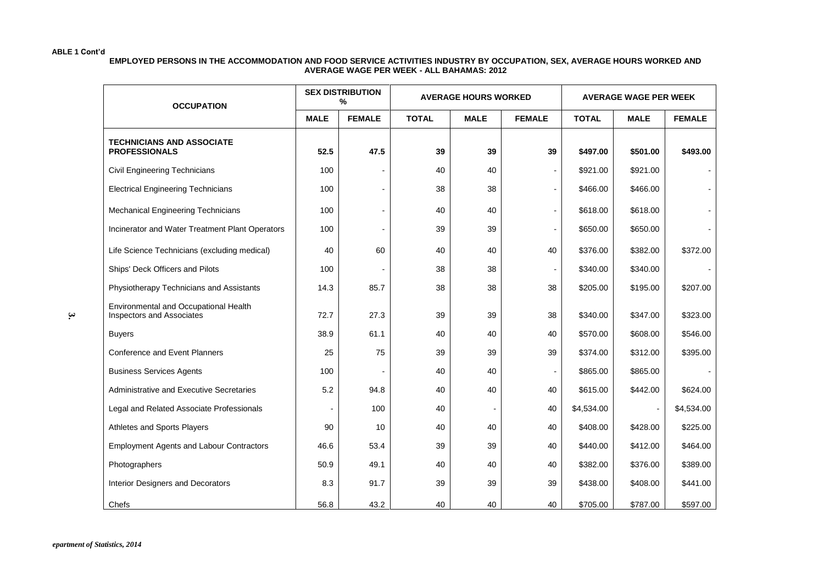#### **EMPLOYED PERSONS IN THE ACCOMMODATION AND FOOD SERVICE ACTIVITIES INDUSTRY BY OCCUPATION, SEX, AVERAGE HOURS WORKED AND AVERAGE WAGE PER WEEK - ALL BAHAMAS: 2012**

| <b>OCCUPATION</b>                                                         |             | <b>SEX DISTRIBUTION</b><br>% |              | <b>AVERAGE HOURS WORKED</b> |                              | <b>AVERAGE WAGE PER WEEK</b> |             |               |  |
|---------------------------------------------------------------------------|-------------|------------------------------|--------------|-----------------------------|------------------------------|------------------------------|-------------|---------------|--|
|                                                                           | <b>MALE</b> | <b>FEMALE</b>                | <b>TOTAL</b> | <b>MALE</b>                 | <b>FEMALE</b>                | <b>TOTAL</b>                 | <b>MALE</b> | <b>FEMALE</b> |  |
| <b>TECHNICIANS AND ASSOCIATE</b><br><b>PROFESSIONALS</b>                  | 52.5        | 47.5                         | 39           | 39                          | 39                           | \$497.00                     | \$501.00    | \$493.00      |  |
| <b>Civil Engineering Technicians</b>                                      | 100         |                              | 40           | 40                          | $\overline{a}$               | \$921.00                     | \$921.00    |               |  |
| <b>Electrical Engineering Technicians</b>                                 | 100         |                              | 38           | 38                          | $\blacksquare$               | \$466.00                     | \$466.00    |               |  |
| <b>Mechanical Engineering Technicians</b>                                 | 100         |                              | 40           | 40                          |                              | \$618.00                     | \$618.00    |               |  |
| Incinerator and Water Treatment Plant Operators                           | 100         |                              | 39           | 39                          | $\qquad \qquad \blacksquare$ | \$650.00                     | \$650.00    |               |  |
| Life Science Technicians (excluding medical)                              | 40          | 60                           | 40           | 40                          | 40                           | \$376.00                     | \$382.00    | \$372.00      |  |
| Ships' Deck Officers and Pilots                                           | 100         |                              | 38           | 38                          |                              | \$340.00                     | \$340.00    |               |  |
| Physiotherapy Technicians and Assistants                                  | 14.3        | 85.7                         | 38           | 38                          | 38                           | \$205.00                     | \$195.00    | \$207.00      |  |
| Environmental and Occupational Health<br><b>Inspectors and Associates</b> | 72.7        | 27.3                         | 39           | 39                          | 38                           | \$340.00                     | \$347.00    | \$323.00      |  |
| <b>Buyers</b>                                                             | 38.9        | 61.1                         | 40           | 40                          | 40                           | \$570.00                     | \$608.00    | \$546.00      |  |
| <b>Conference and Event Planners</b>                                      | 25          | 75                           | 39           | 39                          | 39                           | \$374.00                     | \$312.00    | \$395.00      |  |
| <b>Business Services Agents</b>                                           | 100         |                              | 40           | 40                          |                              | \$865.00                     | \$865.00    |               |  |
| Administrative and Executive Secretaries                                  | 5.2         | 94.8                         | 40           | 40                          | 40                           | \$615.00                     | \$442.00    | \$624.00      |  |
| Legal and Related Associate Professionals                                 |             | 100                          | 40           |                             | 40                           | \$4,534.00                   |             | \$4,534.00    |  |
| Athletes and Sports Players                                               | 90          | 10                           | 40           | 40                          | 40                           | \$408.00                     | \$428.00    | \$225.00      |  |
| <b>Employment Agents and Labour Contractors</b>                           | 46.6        | 53.4                         | 39           | 39                          | 40                           | \$440.00                     | \$412.00    | \$464.00      |  |
| Photographers                                                             | 50.9        | 49.1                         | 40           | 40                          | 40                           | \$382.00                     | \$376.00    | \$389.00      |  |
| Interior Designers and Decorators                                         | 8.3         | 91.7                         | 39           | 39                          | 39                           | \$438.00                     | \$408.00    | \$441.00      |  |
| Chefs                                                                     | 56.8        | 43.2                         | 40           | 40                          | 40                           | \$705.00                     | \$787.00    | \$597.00      |  |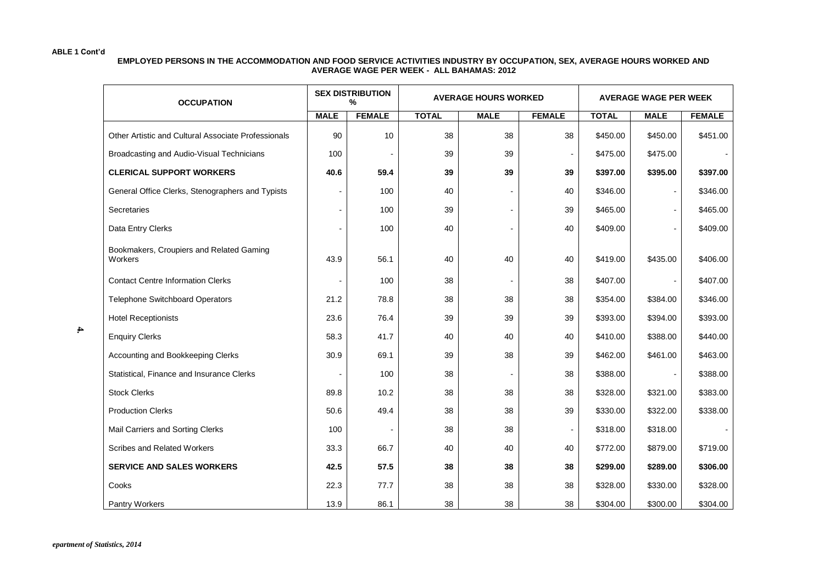#### **EMPLOYED PERSONS IN THE ACCOMMODATION AND FOOD SERVICE ACTIVITIES INDUSTRY BY OCCUPATION, SEX, AVERAGE HOURS WORKED AND AVERAGE WAGE PER WEEK - ALL BAHAMAS: 2012**

| <b>OCCUPATION</b>                                   |             | <b>SEX DISTRIBUTION</b><br>% |              | <b>AVERAGE HOURS WORKED</b> | <b>AVERAGE WAGE PER WEEK</b> |             |               |          |
|-----------------------------------------------------|-------------|------------------------------|--------------|-----------------------------|------------------------------|-------------|---------------|----------|
|                                                     | <b>MALE</b> | <b>FEMALE</b>                | <b>TOTAL</b> | <b>MALE</b>                 | <b>TOTAL</b>                 | <b>MALE</b> | <b>FEMALE</b> |          |
| Other Artistic and Cultural Associate Professionals | 90          | 10                           | 38           | 38                          | 38                           | \$450.00    | \$450.00      | \$451.00 |
| Broadcasting and Audio-Visual Technicians           | 100         |                              | 39           | 39                          | $\overline{\phantom{a}}$     | \$475.00    | \$475.00      |          |
| <b>CLERICAL SUPPORT WORKERS</b>                     | 40.6        | 59.4                         | 39           | 39                          | 39                           | \$397.00    | \$395.00      | \$397.00 |
| General Office Clerks, Stenographers and Typists    |             | 100                          | 40           |                             | 40                           | \$346.00    |               | \$346.00 |
| Secretaries                                         |             | 100                          | 39           |                             | 39                           | \$465.00    |               | \$465.00 |
| Data Entry Clerks                                   | ٠           | 100                          | 40           |                             | 40                           | \$409.00    |               | \$409.00 |
| Bookmakers, Croupiers and Related Gaming<br>Workers | 43.9        | 56.1                         | 40           | 40                          | 40                           | \$419.00    | \$435.00      | \$406.00 |
| <b>Contact Centre Information Clerks</b>            |             | 100                          | 38           |                             | 38                           | \$407.00    |               | \$407.00 |
| <b>Telephone Switchboard Operators</b>              | 21.2        | 78.8                         | 38           | 38                          | 38                           | \$354.00    | \$384.00      | \$346.00 |
| <b>Hotel Receptionists</b>                          | 23.6        | 76.4                         | 39           | 39                          | 39                           | \$393.00    | \$394.00      | \$393.00 |
| <b>Enquiry Clerks</b>                               | 58.3        | 41.7                         | 40           | 40                          | 40                           | \$410.00    | \$388.00      | \$440.00 |
| Accounting and Bookkeeping Clerks                   | 30.9        | 69.1                         | 39           | 38                          | 39                           | \$462.00    | \$461.00      | \$463.00 |
| Statistical, Finance and Insurance Clerks           |             | 100                          | 38           |                             | 38                           | \$388.00    |               | \$388.00 |
| <b>Stock Clerks</b>                                 | 89.8        | 10.2                         | 38           | 38                          | 38                           | \$328.00    | \$321.00      | \$383.00 |
| <b>Production Clerks</b>                            | 50.6        | 49.4                         | 38           | 38                          | 39                           | \$330.00    | \$322.00      | \$338.00 |
| Mail Carriers and Sorting Clerks                    | 100         |                              | 38           | 38                          | $\overline{\phantom{a}}$     | \$318.00    | \$318.00      |          |
| Scribes and Related Workers                         | 33.3        | 66.7                         | 40           | 40                          | 40                           | \$772.00    | \$879.00      | \$719.00 |
| <b>SERVICE AND SALES WORKERS</b>                    | 42.5        | 57.5                         | 38           | 38                          | 38                           | \$299.00    | \$289.00      | \$306.00 |
| Cooks                                               | 22.3        | 77.7                         | 38           | 38                          | 38                           | \$328.00    | \$330.00      | \$328.00 |
| Pantry Workers                                      | 13.9        | 86.1                         | 38           | 38                          | 38                           | \$304.00    | \$300.00      | \$304.00 |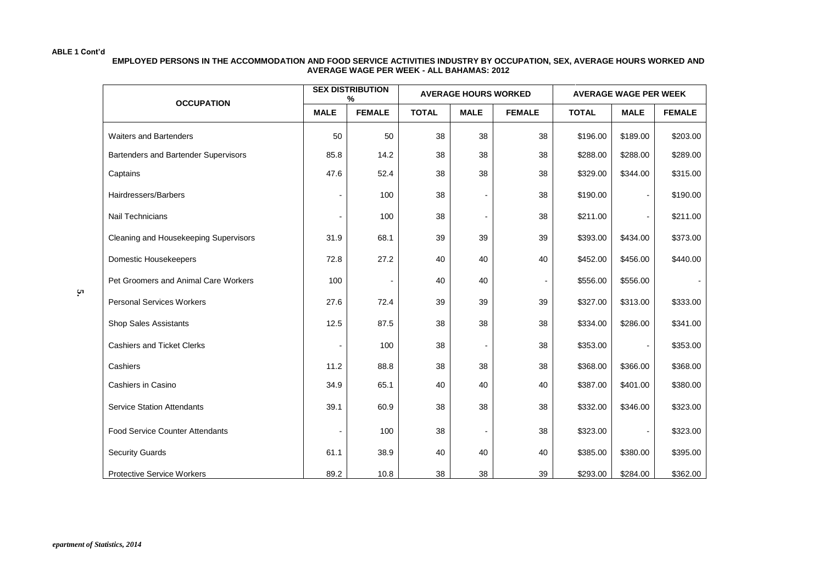#### **EMPLOYED PERSONS IN THE ACCOMMODATION AND FOOD SERVICE ACTIVITIES INDUSTRY BY OCCUPATION, SEX, AVERAGE HOURS WORKED AND AVERAGE WAGE PER WEEK - ALL BAHAMAS: 2012**

| <b>OCCUPATION</b>                      |                | <b>SEX DISTRIBUTION</b><br>% |                             | <b>AVERAGE HOURS WORKED</b> |               | <b>AVERAGE WAGE PER WEEK</b> |                |               |  |
|----------------------------------------|----------------|------------------------------|-----------------------------|-----------------------------|---------------|------------------------------|----------------|---------------|--|
|                                        | <b>MALE</b>    | <b>FEMALE</b>                | <b>TOTAL</b><br><b>MALE</b> |                             | <b>FEMALE</b> | <b>TOTAL</b>                 | <b>MALE</b>    | <b>FEMALE</b> |  |
| <b>Waiters and Bartenders</b>          | 50             | 50                           | 38                          | 38                          | 38            | \$196.00                     | \$189.00       | \$203.00      |  |
| Bartenders and Bartender Supervisors   | 85.8           | 14.2                         | 38                          | 38                          | 38            | \$288.00                     | \$288.00       | \$289.00      |  |
| Captains                               | 47.6           | 52.4                         | 38                          | 38                          | 38            | \$329.00                     | \$344.00       | \$315.00      |  |
| Hairdressers/Barbers                   | $\overline{a}$ | 100                          | 38                          |                             | 38            | \$190.00                     | $\overline{a}$ | \$190.00      |  |
| Nail Technicians                       | $\blacksquare$ | 100                          | 38                          | $\overline{\phantom{a}}$    | 38            | \$211.00                     | $\blacksquare$ | \$211.00      |  |
| Cleaning and Housekeeping Supervisors  | 31.9           | 68.1                         | 39                          | 39                          | 39            | \$393.00                     | \$434.00       | \$373.00      |  |
| Domestic Housekeepers                  | 72.8           | 27.2                         | 40                          | 40                          | 40            | \$452.00                     | \$456.00       | \$440.00      |  |
| Pet Groomers and Animal Care Workers   | 100            |                              | 40                          | 40                          |               | \$556.00                     | \$556.00       |               |  |
| <b>Personal Services Workers</b>       | 27.6           | 72.4                         | 39                          | 39                          | 39            | \$327.00                     | \$313.00       | \$333.00      |  |
| Shop Sales Assistants                  | 12.5           | 87.5                         | 38                          | 38                          | 38            | \$334.00                     | \$286.00       | \$341.00      |  |
| <b>Cashiers and Ticket Clerks</b>      |                | 100                          | 38                          |                             | 38            | \$353.00                     |                | \$353.00      |  |
| Cashiers                               | 11.2           | 88.8                         | 38                          | 38                          | 38            | \$368.00                     | \$366.00       | \$368.00      |  |
| Cashiers in Casino                     | 34.9           | 65.1                         | 40                          | 40                          | 40            | \$387.00                     | \$401.00       | \$380.00      |  |
| <b>Service Station Attendants</b>      | 39.1           | 60.9                         | 38                          | 38                          | 38            | \$332.00                     | \$346.00       | \$323.00      |  |
| <b>Food Service Counter Attendants</b> |                | 100                          | 38                          |                             | 38            | \$323.00                     |                | \$323.00      |  |
| <b>Security Guards</b>                 | 61.1           | 38.9                         | 40                          | 40                          | 40            | \$385.00                     | \$380.00       | \$395.00      |  |
| <b>Protective Service Workers</b>      | 89.2           | 10.8                         | 38                          | 38                          | 39            | \$293.00                     | \$284.00       | \$362.00      |  |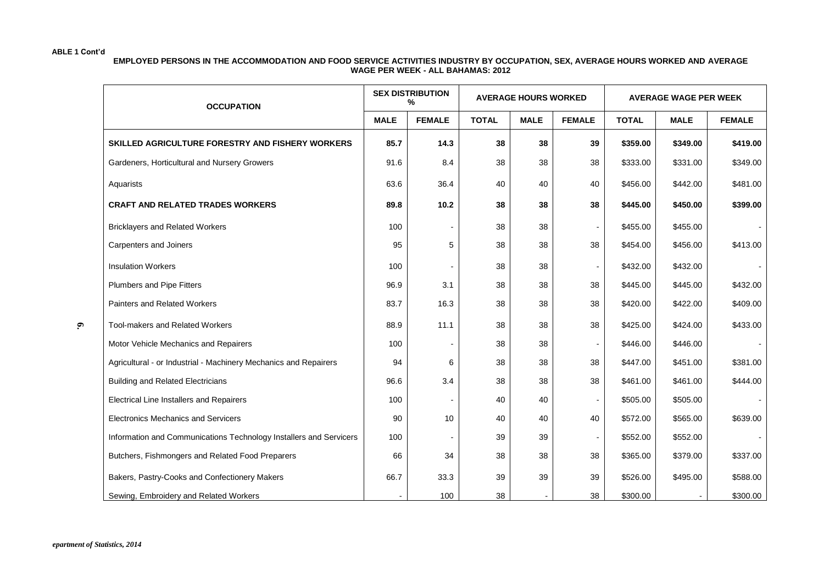**6.**

**EMPLOYED PERSONS IN THE ACCOMMODATION AND FOOD SERVICE ACTIVITIES INDUSTRY BY OCCUPATION, SEX, AVERAGE HOURS WORKED AND AVERAGE WAGE PER WEEK - ALL BAHAMAS: 2012**

| <b>OCCUPATION</b>                                                  |             | <b>SEX DISTRIBUTION</b><br>% |              | <b>AVERAGE HOURS WORKED</b> |               | <b>AVERAGE WAGE PER WEEK</b> |             |               |  |
|--------------------------------------------------------------------|-------------|------------------------------|--------------|-----------------------------|---------------|------------------------------|-------------|---------------|--|
|                                                                    | <b>MALE</b> | <b>FEMALE</b>                | <b>TOTAL</b> | <b>MALE</b>                 | <b>FEMALE</b> | <b>TOTAL</b>                 | <b>MALE</b> | <b>FEMALE</b> |  |
| SKILLED AGRICULTURE FORESTRY AND FISHERY WORKERS                   | 85.7        | 14.3                         | 38           | 38                          | 39            | \$359.00                     | \$349.00    | \$419.00      |  |
| Gardeners, Horticultural and Nursery Growers                       | 91.6        | 8.4                          | 38           | 38                          | 38            | \$333.00                     | \$331.00    | \$349.00      |  |
| Aquarists                                                          | 63.6        | 36.4                         | 40           | 40                          | 40            | \$456.00                     | \$442.00    | \$481.00      |  |
| <b>CRAFT AND RELATED TRADES WORKERS</b>                            | 89.8        | 10.2                         | 38           | 38                          | 38            | \$445.00                     | \$450.00    | \$399.00      |  |
| <b>Bricklayers and Related Workers</b>                             | 100         |                              | 38           | 38                          |               | \$455.00                     | \$455.00    |               |  |
| Carpenters and Joiners                                             | 95          | 5                            | 38           | 38                          | 38            | \$454.00                     | \$456.00    | \$413.00      |  |
| <b>Insulation Workers</b>                                          | 100         |                              | 38           | 38                          |               | \$432.00                     | \$432.00    |               |  |
| Plumbers and Pipe Fitters                                          | 96.9        | 3.1                          | 38           | 38                          | 38            | \$445.00                     | \$445.00    | \$432.00      |  |
| Painters and Related Workers                                       | 83.7        | 16.3                         | 38           | 38                          | 38            | \$420.00                     | \$422.00    | \$409.00      |  |
| Tool-makers and Related Workers                                    | 88.9        | 11.1                         | 38           | 38                          | 38            | \$425.00                     | \$424.00    | \$433.00      |  |
| Motor Vehicle Mechanics and Repairers                              | 100         |                              | 38           | 38                          |               | \$446.00                     | \$446.00    |               |  |
| Agricultural - or Industrial - Machinery Mechanics and Repairers   | 94          | 6                            | 38           | 38                          | 38            | \$447.00                     | \$451.00    | \$381.00      |  |
| <b>Building and Related Electricians</b>                           | 96.6        | 3.4                          | 38           | 38                          | 38            | \$461.00                     | \$461.00    | \$444.00      |  |
| <b>Electrical Line Installers and Repairers</b>                    | 100         |                              | 40           | 40                          |               | \$505.00                     | \$505.00    |               |  |
| <b>Electronics Mechanics and Servicers</b>                         | 90          | 10                           | 40           | 40                          | 40            | \$572.00                     | \$565.00    | \$639.00      |  |
| Information and Communications Technology Installers and Servicers | 100         |                              | 39           | 39                          |               | \$552.00                     | \$552.00    |               |  |
| Butchers, Fishmongers and Related Food Preparers                   | 66          | 34                           | 38           | 38                          | 38            | \$365.00                     | \$379.00    | \$337.00      |  |
| Bakers, Pastry-Cooks and Confectionery Makers                      | 66.7        | 33.3                         | 39           | 39                          | 39            | \$526.00                     | \$495.00    | \$588.00      |  |
| Sewing, Embroidery and Related Workers                             |             | 100                          | 38           |                             | 38            | \$300.00                     |             | \$300.00      |  |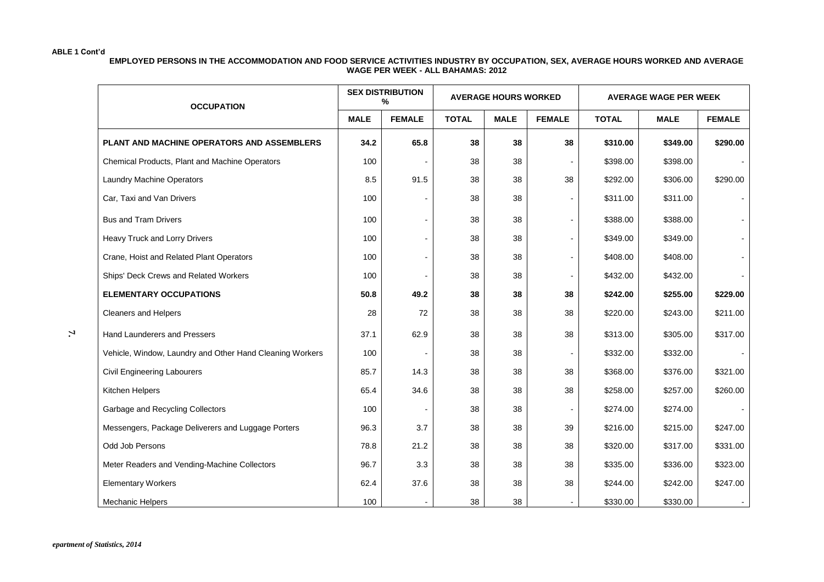**EMPLOYED PERSONS IN THE ACCOMMODATION AND FOOD SERVICE ACTIVITIES INDUSTRY BY OCCUPATION, SEX, AVERAGE HOURS WORKED AND AVERAGE WAGE PER WEEK - ALL BAHAMAS: 2012**

| <b>OCCUPATION</b>                                        |             | <b>SEX DISTRIBUTION</b><br>% |              | <b>AVERAGE HOURS WORKED</b> |               |              | <b>AVERAGE WAGE PER WEEK</b> |               |
|----------------------------------------------------------|-------------|------------------------------|--------------|-----------------------------|---------------|--------------|------------------------------|---------------|
|                                                          | <b>MALE</b> | <b>FEMALE</b>                | <b>TOTAL</b> | <b>MALE</b>                 | <b>FEMALE</b> | <b>TOTAL</b> | <b>MALE</b>                  | <b>FEMALE</b> |
| PLANT AND MACHINE OPERATORS AND ASSEMBLERS               | 34.2        | 65.8                         | 38           | 38                          | 38            | \$310.00     | \$349.00                     | \$290.00      |
| Chemical Products, Plant and Machine Operators           | 100         |                              | 38           | 38                          |               | \$398.00     | \$398.00                     |               |
| Laundry Machine Operators                                | 8.5         | 91.5                         | 38           | 38                          | 38            | \$292.00     | \$306.00                     | \$290.00      |
| Car, Taxi and Van Drivers                                | 100         |                              | 38           | 38                          |               | \$311.00     | \$311.00                     |               |
| <b>Bus and Tram Drivers</b>                              | 100         |                              | 38           | 38                          |               | \$388.00     | \$388.00                     |               |
| Heavy Truck and Lorry Drivers                            | 100         |                              | 38           | 38                          |               | \$349.00     | \$349.00                     |               |
| Crane, Hoist and Related Plant Operators                 | 100         |                              | 38           | 38                          |               | \$408.00     | \$408.00                     |               |
| Ships' Deck Crews and Related Workers                    | 100         |                              | 38           | 38                          |               | \$432.00     | \$432.00                     |               |
| <b>ELEMENTARY OCCUPATIONS</b>                            | 50.8        | 49.2                         | 38           | 38                          | 38            | \$242.00     | \$255.00                     | \$229.00      |
| <b>Cleaners and Helpers</b>                              | 28          | 72                           | 38           | 38                          | 38            | \$220.00     | \$243.00                     | \$211.00      |
| Hand Launderers and Pressers                             | 37.1        | 62.9                         | 38           | 38                          | 38            | \$313.00     | \$305.00                     | \$317.00      |
| Vehicle, Window, Laundry and Other Hand Cleaning Workers | 100         |                              | 38           | 38                          |               | \$332.00     | \$332.00                     |               |
| Civil Engineering Labourers                              | 85.7        | 14.3                         | 38           | 38                          | 38            | \$368.00     | \$376.00                     | \$321.00      |
| Kitchen Helpers                                          | 65.4        | 34.6                         | 38           | 38                          | 38            | \$258.00     | \$257.00                     | \$260.00      |
| Garbage and Recycling Collectors                         | 100         |                              | 38           | 38                          |               | \$274.00     | \$274.00                     |               |
| Messengers, Package Deliverers and Luggage Porters       | 96.3        | 3.7                          | 38           | 38                          | 39            | \$216.00     | \$215.00                     | \$247.00      |
| Odd Job Persons                                          | 78.8        | 21.2                         | 38           | 38                          | 38            | \$320.00     | \$317.00                     | \$331.00      |
| Meter Readers and Vending-Machine Collectors             | 96.7        | 3.3                          | 38           | 38                          | 38            | \$335.00     | \$336.00                     | \$323.00      |
| <b>Elementary Workers</b>                                | 62.4        | 37.6                         | 38           | 38                          | 38            | \$244.00     | \$242.00                     | \$247.00      |
| <b>Mechanic Helpers</b>                                  | 100         |                              | 38           | 38                          |               | \$330.00     | \$330.00                     |               |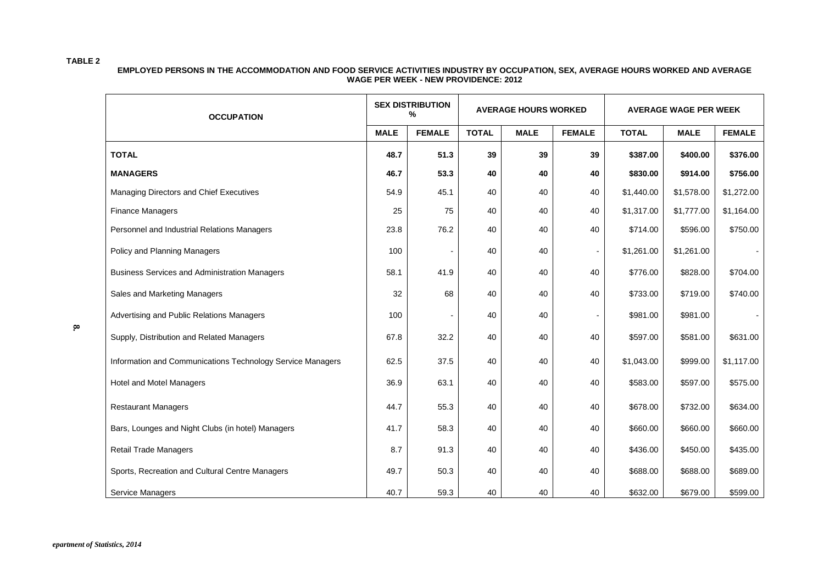#### **TABLE 2**

#### **EMPLOYED PERSONS IN THE ACCOMMODATION AND FOOD SERVICE ACTIVITIES INDUSTRY BY OCCUPATION, SEX, AVERAGE HOURS WORKED AND AVERAGE WAGE PER WEEK - NEW PROVIDENCE: 2012**

| <b>OCCUPATION</b>                                          |             | <b>SEX DISTRIBUTION</b><br>% |              | <b>AVERAGE HOURS WORKED</b> |                          | <b>AVERAGE WAGE PER WEEK</b> |             |               |  |
|------------------------------------------------------------|-------------|------------------------------|--------------|-----------------------------|--------------------------|------------------------------|-------------|---------------|--|
|                                                            | <b>MALE</b> | <b>FEMALE</b>                | <b>TOTAL</b> | <b>MALE</b>                 | <b>FEMALE</b>            | <b>TOTAL</b>                 | <b>MALE</b> | <b>FEMALE</b> |  |
| <b>TOTAL</b>                                               | 48.7        | 51.3                         | 39           | 39                          | 39                       | \$387.00                     | \$400.00    | \$376.00      |  |
| <b>MANAGERS</b>                                            | 46.7        | 53.3                         | 40           | 40                          | 40                       | \$830.00                     | \$914.00    | \$756.00      |  |
| Managing Directors and Chief Executives                    | 54.9        | 45.1                         | 40           | 40                          | 40                       | \$1,440.00                   | \$1,578.00  | \$1,272.00    |  |
| <b>Finance Managers</b>                                    | 25          | 75                           | 40           | 40                          | 40                       | \$1,317.00                   | \$1,777.00  | \$1,164.00    |  |
| Personnel and Industrial Relations Managers                | 23.8        | 76.2                         | 40           | 40                          | 40                       | \$714.00                     | \$596.00    | \$750.00      |  |
| Policy and Planning Managers                               | 100         |                              | 40           | 40                          | $\overline{\phantom{a}}$ | \$1,261.00                   | \$1,261.00  |               |  |
| <b>Business Services and Administration Managers</b>       | 58.1        | 41.9                         | 40           | 40                          | 40                       | \$776.00                     | \$828.00    | \$704.00      |  |
| Sales and Marketing Managers                               | 32          | 68                           | 40           | 40                          | 40                       | \$733.00                     | \$719.00    | \$740.00      |  |
| Advertising and Public Relations Managers                  | 100         |                              | 40           | 40                          |                          | \$981.00                     | \$981.00    |               |  |
| Supply, Distribution and Related Managers                  | 67.8        | 32.2                         | 40           | 40                          | 40                       | \$597.00                     | \$581.00    | \$631.00      |  |
| Information and Communications Technology Service Managers | 62.5        | 37.5                         | 40           | 40                          | 40                       | \$1,043.00                   | \$999.00    | \$1,117.00    |  |
| Hotel and Motel Managers                                   | 36.9        | 63.1                         | 40           | 40                          | 40                       | \$583.00                     | \$597.00    | \$575.00      |  |
| <b>Restaurant Managers</b>                                 | 44.7        | 55.3                         | 40           | 40                          | 40                       | \$678.00                     | \$732.00    | \$634.00      |  |
| Bars, Lounges and Night Clubs (in hotel) Managers          | 41.7        | 58.3                         | 40           | 40                          | 40                       | \$660.00                     | \$660.00    | \$660.00      |  |
| <b>Retail Trade Managers</b>                               | 8.7         | 91.3                         | 40           | 40                          | 40                       | \$436.00                     | \$450.00    | \$435.00      |  |
| Sports, Recreation and Cultural Centre Managers            | 49.7        | 50.3                         | 40           | 40                          | 40                       | \$688.00                     | \$688.00    | \$689.00      |  |
| Service Managers                                           | 40.7        | 59.3                         | 40           | 40                          | 40                       | \$632.00                     | \$679.00    | \$599.00      |  |

**8.**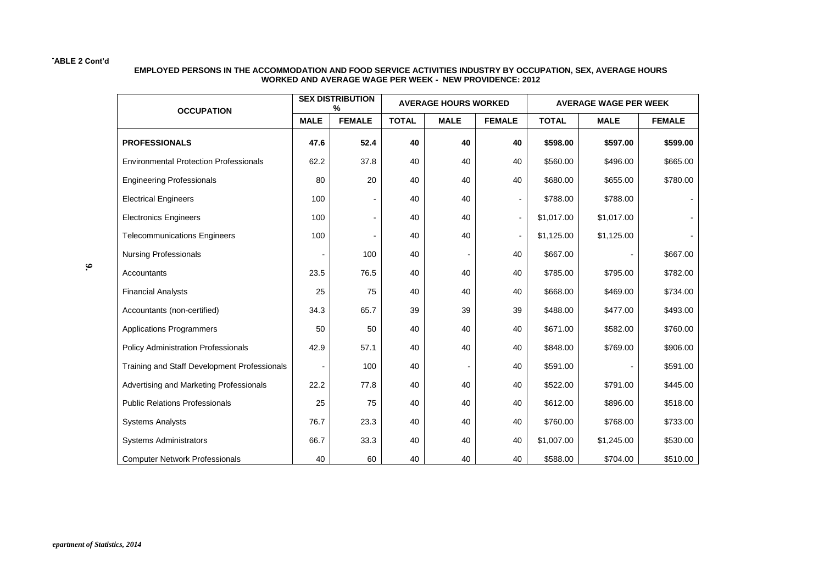#### **EMPLOYED PERSONS IN THE ACCOMMODATION AND FOOD SERVICE ACTIVITIES INDUSTRY BY OCCUPATION, SEX, AVERAGE HOURS WORKED AND AVERAGE WAGE PER WEEK - NEW PROVIDENCE: 2012**

| <b>OCCUPATION</b>                             |             | <b>SEX DISTRIBUTION</b><br>% |              | <b>AVERAGE HOURS WORKED</b><br><b>AVERAGE WAGE PER WEEK</b> |               |              |             |               |  |
|-----------------------------------------------|-------------|------------------------------|--------------|-------------------------------------------------------------|---------------|--------------|-------------|---------------|--|
|                                               | <b>MALE</b> | <b>FEMALE</b>                | <b>TOTAL</b> | <b>MALE</b>                                                 | <b>FEMALE</b> | <b>TOTAL</b> | <b>MALE</b> | <b>FEMALE</b> |  |
| <b>PROFESSIONALS</b>                          | 47.6        | 52.4                         | 40           | 40                                                          | 40            | \$598.00     | \$597.00    | \$599.00      |  |
| <b>Environmental Protection Professionals</b> | 62.2        | 37.8                         | 40           | 40                                                          | 40            | \$560.00     | \$496.00    | \$665.00      |  |
| <b>Engineering Professionals</b>              | 80          | 20                           | 40           | 40                                                          | 40            | \$680.00     | \$655.00    | \$780.00      |  |
| <b>Electrical Engineers</b>                   | 100         |                              | 40           | 40                                                          |               | \$788.00     | \$788.00    |               |  |
| <b>Electronics Engineers</b>                  | 100         |                              | 40           | 40                                                          |               | \$1,017.00   | \$1,017.00  |               |  |
| <b>Telecommunications Engineers</b>           | 100         |                              | 40           | 40                                                          |               | \$1,125.00   | \$1,125.00  |               |  |
| <b>Nursing Professionals</b>                  |             | 100                          | 40           |                                                             | 40            | \$667.00     |             | \$667.00      |  |
| Accountants                                   | 23.5        | 76.5                         | 40           | 40                                                          | 40            | \$785.00     | \$795.00    | \$782.00      |  |
| <b>Financial Analysts</b>                     | 25          | 75                           | 40           | 40                                                          | 40            | \$668.00     | \$469.00    | \$734.00      |  |
| Accountants (non-certified)                   | 34.3        | 65.7                         | 39           | 39                                                          | 39            | \$488.00     | \$477.00    | \$493.00      |  |
| <b>Applications Programmers</b>               | 50          | 50                           | 40           | 40                                                          | 40            | \$671.00     | \$582.00    | \$760.00      |  |
| <b>Policy Administration Professionals</b>    | 42.9        | 57.1                         | 40           | 40                                                          | 40            | \$848.00     | \$769.00    | \$906.00      |  |
| Training and Staff Development Professionals  |             | 100                          | 40           |                                                             | 40            | \$591.00     |             | \$591.00      |  |
| Advertising and Marketing Professionals       | 22.2        | 77.8                         | 40           | 40                                                          | 40            | \$522.00     | \$791.00    | \$445.00      |  |
| <b>Public Relations Professionals</b>         | 25          | 75                           | 40           | 40                                                          | 40            | \$612.00     | \$896.00    | \$518.00      |  |
| <b>Systems Analysts</b>                       | 76.7        | 23.3                         | 40           | 40                                                          | 40            | \$760.00     | \$768.00    | \$733.00      |  |
| <b>Systems Administrators</b>                 | 66.7        | 33.3                         | 40           | 40                                                          | 40            | \$1,007.00   | \$1,245.00  | \$530.00      |  |
| <b>Computer Network Professionals</b>         | 40          | 60                           | 40           | 40                                                          | 40            | \$588.00     | \$704.00    | \$510.00      |  |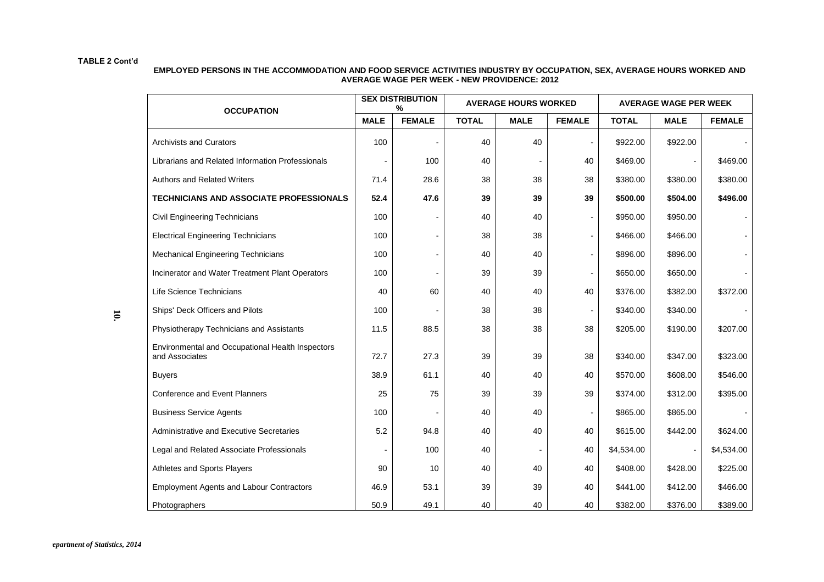| EMPLOYED PERSONS IN THE ACCOMMODATION AND FOOD SERVICE ACTIVITIES INDUSTRY BY OCCUPATION. SEX. AVERAGE HOURS WORKED AND |
|-------------------------------------------------------------------------------------------------------------------------|
| <b>AVERAGE WAGE PER WEEK - NEW PROVIDENCE: 2012</b>                                                                     |

| <b>OCCUPATION</b>                                                  | <b>SEX DISTRIBUTION</b><br>% |               |              | <b>AVERAGE HOURS WORKED</b> |                          | <b>AVERAGE WAGE PER WEEK</b> |             |               |  |
|--------------------------------------------------------------------|------------------------------|---------------|--------------|-----------------------------|--------------------------|------------------------------|-------------|---------------|--|
|                                                                    | <b>MALE</b>                  | <b>FEMALE</b> | <b>TOTAL</b> | <b>MALE</b>                 | <b>FEMALE</b>            | <b>TOTAL</b>                 | <b>MALE</b> | <b>FEMALE</b> |  |
| <b>Archivists and Curators</b>                                     | 100                          |               | 40           | 40                          |                          | \$922.00                     | \$922.00    |               |  |
| Librarians and Related Information Professionals                   |                              | 100           | 40           |                             | 40                       | \$469.00                     |             | \$469.00      |  |
| <b>Authors and Related Writers</b>                                 | 71.4                         | 28.6          | 38           | 38                          | 38                       | \$380.00                     | \$380.00    | \$380.00      |  |
| <b>TECHNICIANS AND ASSOCIATE PROFESSIONALS</b>                     | 52.4                         | 47.6          | 39           | 39                          | 39                       | \$500.00                     | \$504.00    | \$496.00      |  |
| Civil Engineering Technicians                                      | 100                          |               | 40           | 40                          | $\overline{\phantom{0}}$ | \$950.00                     | \$950.00    |               |  |
| <b>Electrical Engineering Technicians</b>                          | 100                          |               | 38           | 38                          | ٠                        | \$466.00                     | \$466.00    |               |  |
| <b>Mechanical Engineering Technicians</b>                          | 100                          |               | 40           | 40                          | $\overline{\phantom{0}}$ | \$896.00                     | \$896.00    |               |  |
| Incinerator and Water Treatment Plant Operators                    | 100                          |               | 39           | 39                          |                          | \$650.00                     | \$650.00    |               |  |
| Life Science Technicians                                           | 40                           | 60            | 40           | 40                          | 40                       | \$376.00                     | \$382.00    | \$372.00      |  |
| Ships' Deck Officers and Pilots                                    | 100                          |               | 38           | 38                          |                          | \$340.00                     | \$340.00    |               |  |
| Physiotherapy Technicians and Assistants                           | 11.5                         | 88.5          | 38           | 38                          | 38                       | \$205.00                     | \$190.00    | \$207.00      |  |
| Environmental and Occupational Health Inspectors<br>and Associates | 72.7                         | 27.3          | 39           | 39                          | 38                       | \$340.00                     | \$347.00    | \$323.00      |  |
| <b>Buyers</b>                                                      | 38.9                         | 61.1          | 40           | 40                          | 40                       | \$570.00                     | \$608.00    | \$546.00      |  |
| <b>Conference and Event Planners</b>                               | 25                           | 75            | 39           | 39                          | 39                       | \$374.00                     | \$312.00    | \$395.00      |  |
| <b>Business Service Agents</b>                                     | 100                          |               | 40           | 40                          |                          | \$865.00                     | \$865.00    |               |  |
| Administrative and Executive Secretaries                           | 5.2                          | 94.8          | 40           | 40                          | 40                       | \$615.00                     | \$442.00    | \$624.00      |  |
| Legal and Related Associate Professionals                          |                              | 100           | 40           |                             | 40                       | \$4,534.00                   |             | \$4,534.00    |  |
| Athletes and Sports Players                                        | 90                           | 10            | 40           | 40                          | 40                       | \$408.00                     | \$428.00    | \$225.00      |  |
| <b>Employment Agents and Labour Contractors</b>                    | 46.9                         | 53.1          | 39           | 39                          | 40                       | \$441.00                     | \$412.00    | \$466.00      |  |
| Photographers                                                      | 50.9                         | 49.1          | 40           | 40                          | 40                       | \$382.00                     | \$376.00    | \$389.00      |  |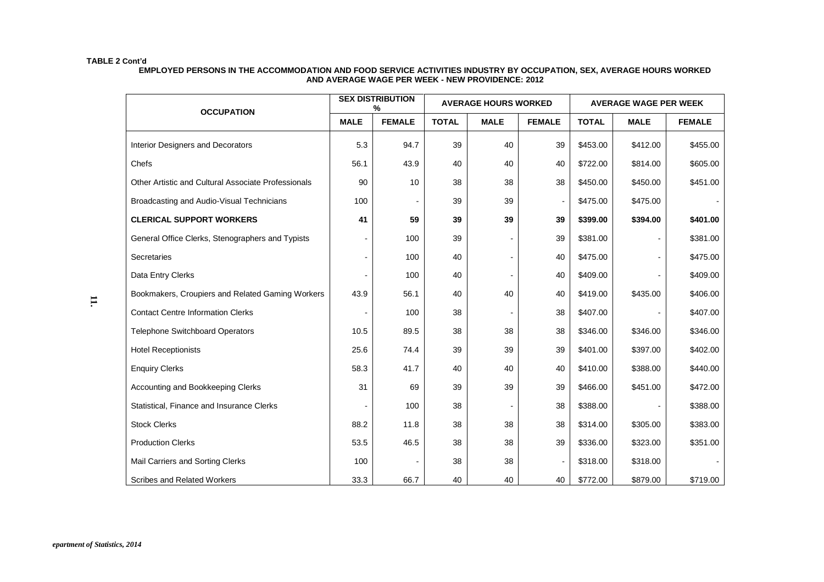#### **EMPLOYED PERSONS IN THE ACCOMMODATION AND FOOD SERVICE ACTIVITIES INDUSTRY BY OCCUPATION, SEX, AVERAGE HOURS WORKED AND AVERAGE WAGE PER WEEK - NEW PROVIDENCE: 2012**

| <b>OCCUPATION</b>                                   | <b>SEX DISTRIBUTION</b><br>% |               |              | <b>AVERAGE HOURS WORKED</b> |                          | <b>AVERAGE WAGE PER WEEK</b> |                              |               |  |
|-----------------------------------------------------|------------------------------|---------------|--------------|-----------------------------|--------------------------|------------------------------|------------------------------|---------------|--|
|                                                     | <b>MALE</b>                  | <b>FEMALE</b> | <b>TOTAL</b> | <b>MALE</b>                 | <b>FEMALE</b>            | <b>TOTAL</b><br><b>MALE</b>  |                              | <b>FEMALE</b> |  |
| Interior Designers and Decorators                   | 5.3                          | 94.7          | 39           | 40                          | 39                       | \$453.00                     | \$412.00                     | \$455.00      |  |
| Chefs                                               | 56.1                         | 43.9          | 40           | 40                          | 40                       | \$722.00                     | \$814.00                     | \$605.00      |  |
| Other Artistic and Cultural Associate Professionals | 90                           | 10            | 38           | 38                          | 38                       | \$450.00                     | \$450.00                     | \$451.00      |  |
| Broadcasting and Audio-Visual Technicians           | 100                          |               | 39           | 39                          | $\blacksquare$           | \$475.00                     | \$475.00                     |               |  |
| <b>CLERICAL SUPPORT WORKERS</b>                     | 41                           | 59            | 39           | 39                          | 39                       | \$399.00                     | \$394.00                     | \$401.00      |  |
| General Office Clerks, Stenographers and Typists    |                              | 100           | 39           |                             | 39                       | \$381.00                     | $\blacksquare$               | \$381.00      |  |
| Secretaries                                         |                              | 100           | 40           |                             | 40                       | \$475.00                     | ٠                            | \$475.00      |  |
| Data Entry Clerks                                   |                              | 100           | 40           |                             | 40                       | \$409.00                     |                              | \$409.00      |  |
| Bookmakers, Croupiers and Related Gaming Workers    | 43.9                         | 56.1          | 40           | 40                          | 40                       | \$419.00                     | \$435.00                     | \$406.00      |  |
| <b>Contact Centre Information Clerks</b>            |                              | 100           | 38           |                             | 38                       | \$407.00                     | $\qquad \qquad \blacksquare$ | \$407.00      |  |
| <b>Telephone Switchboard Operators</b>              | 10.5                         | 89.5          | 38           | 38                          | 38                       | \$346.00                     | \$346.00                     | \$346.00      |  |
| <b>Hotel Receptionists</b>                          | 25.6                         | 74.4          | 39           | 39                          | 39                       | \$401.00                     | \$397.00                     | \$402.00      |  |
| <b>Enquiry Clerks</b>                               | 58.3                         | 41.7          | 40           | 40                          | 40                       | \$410.00                     | \$388.00                     | \$440.00      |  |
| Accounting and Bookkeeping Clerks                   | 31                           | 69            | 39           | 39                          | 39                       | \$466.00                     | \$451.00                     | \$472.00      |  |
| Statistical, Finance and Insurance Clerks           |                              | 100           | 38           |                             | 38                       | \$388.00                     |                              | \$388.00      |  |
| <b>Stock Clerks</b>                                 | 88.2                         | 11.8          | 38           | 38                          | 38                       | \$314.00                     | \$305.00                     | \$383.00      |  |
| <b>Production Clerks</b>                            | 53.5                         | 46.5          | 38           | 38                          | 39                       | \$336.00                     | \$323.00                     | \$351.00      |  |
| Mail Carriers and Sorting Clerks                    | 100                          |               | 38           | 38                          | $\overline{\phantom{a}}$ | \$318.00                     | \$318.00                     |               |  |
| <b>Scribes and Related Workers</b>                  | 33.3                         | 66.7          | 40           | 40                          | 40                       | \$772.00                     | \$879.00                     | \$719.00      |  |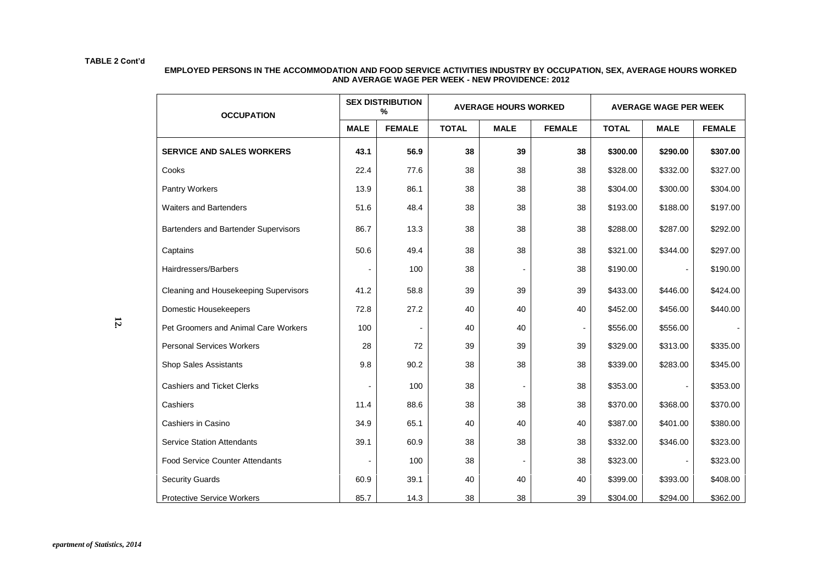| <b>OCCUPATION</b>                      |             | <b>SEX DISTRIBUTION</b><br>℅ |              | <b>AVERAGE HOURS WORKED</b> |                          |              | <b>AVERAGE WAGE PER WEEK</b> |               |
|----------------------------------------|-------------|------------------------------|--------------|-----------------------------|--------------------------|--------------|------------------------------|---------------|
|                                        | <b>MALE</b> | <b>FEMALE</b>                | <b>TOTAL</b> | <b>MALE</b>                 | <b>FEMALE</b>            | <b>TOTAL</b> | <b>MALE</b>                  | <b>FEMALE</b> |
| <b>SERVICE AND SALES WORKERS</b>       | 43.1        | 56.9                         | 38           | 39                          | 38                       | \$300.00     | \$290.00                     | \$307.00      |
| Cooks                                  | 22.4        | 77.6                         | 38           | 38                          | 38                       | \$328.00     | \$332.00                     | \$327.00      |
| Pantry Workers                         | 13.9        | 86.1                         | 38           | 38                          | 38                       | \$304.00     | \$300.00                     | \$304.00      |
| <b>Waiters and Bartenders</b>          | 51.6        | 48.4                         | 38           | 38                          | 38                       | \$193.00     | \$188.00                     | \$197.00      |
| Bartenders and Bartender Supervisors   | 86.7        | 13.3                         | 38           | 38                          | 38                       | \$288.00     | \$287.00                     | \$292.00      |
| Captains                               | 50.6        | 49.4                         | 38           | 38                          | 38                       | \$321.00     | \$344.00                     | \$297.00      |
| Hairdressers/Barbers                   |             | 100                          | 38           |                             | 38                       | \$190.00     |                              | \$190.00      |
| Cleaning and Housekeeping Supervisors  | 41.2        | 58.8                         | 39           | 39                          | 39                       | \$433.00     | \$446.00                     | \$424.00      |
| Domestic Housekeepers                  | 72.8        | 27.2                         | 40           | 40                          | 40                       | \$452.00     | \$456.00                     | \$440.00      |
| Pet Groomers and Animal Care Workers   | 100         |                              | 40           | 40                          | $\overline{\phantom{a}}$ | \$556.00     | \$556.00                     |               |
| <b>Personal Services Workers</b>       | 28          | 72                           | 39           | 39                          | 39                       | \$329.00     | \$313.00                     | \$335.00      |
| Shop Sales Assistants                  | 9.8         | 90.2                         | 38           | 38                          | 38                       | \$339.00     | \$283.00                     | \$345.00      |
| <b>Cashiers and Ticket Clerks</b>      |             | 100                          | 38           |                             | 38                       | \$353.00     | $\blacksquare$               | \$353.00      |
| Cashiers                               | 11.4        | 88.6                         | 38           | 38                          | 38                       | \$370.00     | \$368.00                     | \$370.00      |
| Cashiers in Casino                     | 34.9        | 65.1                         | 40           | 40                          | 40                       | \$387.00     | \$401.00                     | \$380.00      |
| <b>Service Station Attendants</b>      | 39.1        | 60.9                         | 38           | 38                          | 38                       | \$332.00     | \$346.00                     | \$323.00      |
| <b>Food Service Counter Attendants</b> |             | 100                          | 38           |                             | 38                       | \$323.00     |                              | \$323.00      |
| <b>Security Guards</b>                 | 60.9        | 39.1                         | 40           | 40                          | 40                       | \$399.00     | \$393.00                     | \$408.00      |
| Protective Service Workers             | 85.7        | 14.3                         | 38           | 38                          | 39                       | \$304.00     | \$294.00                     | \$362.00      |

#### **EMPLOYED PERSONS IN THE ACCOMMODATION AND FOOD SERVICE ACTIVITIES INDUSTRY BY OCCUPATION, SEX, AVERAGE HOURS WORKED AND AVERAGE WAGE PER WEEK - NEW PROVIDENCE: 2012**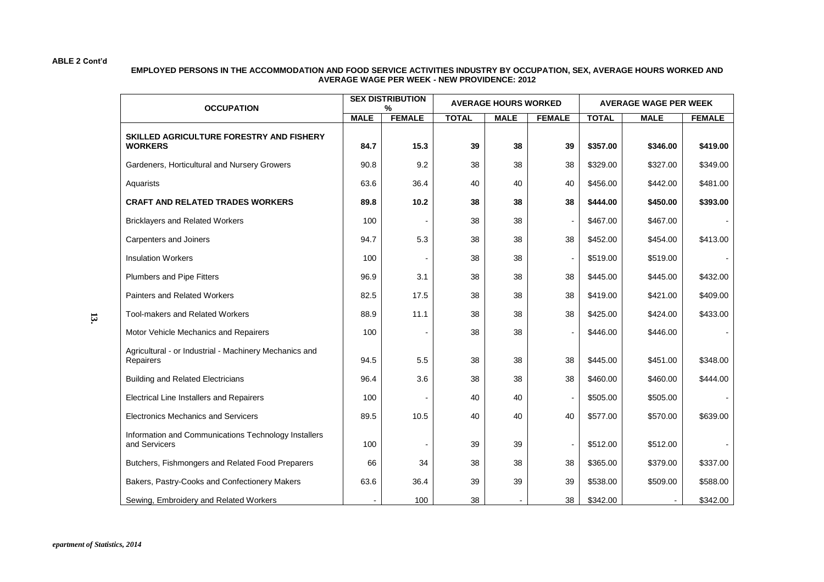#### **EMPLOYED PERSONS IN THE ACCOMMODATION AND FOOD SERVICE ACTIVITIES INDUSTRY BY OCCUPATION, SEX, AVERAGE HOURS WORKED AND AVERAGE WAGE PER WEEK - NEW PROVIDENCE: 2012**

| <b>OCCUPATION</b>                                                     | <b>SEX DISTRIBUTION</b><br><b>AVERAGE HOURS WORKED</b><br><b>AVERAGE WAGE PER WEEK</b><br>% |               |              |             |               |              |             |               |
|-----------------------------------------------------------------------|---------------------------------------------------------------------------------------------|---------------|--------------|-------------|---------------|--------------|-------------|---------------|
|                                                                       | <b>MALE</b>                                                                                 | <b>FEMALE</b> | <b>TOTAL</b> | <b>MALE</b> | <b>FEMALE</b> | <b>TOTAL</b> | <b>MALE</b> | <b>FEMALE</b> |
| SKILLED AGRICULTURE FORESTRY AND FISHERY<br><b>WORKERS</b>            | 84.7                                                                                        | 15.3          | 39           | 38          | 39            | \$357.00     | \$346.00    | \$419.00      |
| Gardeners, Horticultural and Nursery Growers                          | 90.8                                                                                        | 9.2           | 38           | 38          | 38            | \$329.00     | \$327.00    | \$349.00      |
| Aquarists                                                             | 63.6                                                                                        | 36.4          | 40           | 40          | 40            | \$456.00     | \$442.00    | \$481.00      |
| <b>CRAFT AND RELATED TRADES WORKERS</b>                               | 89.8                                                                                        | 10.2          | 38           | 38          | 38            | \$444.00     | \$450.00    | \$393.00      |
| <b>Bricklayers and Related Workers</b>                                | 100                                                                                         |               | 38           | 38          |               | \$467.00     | \$467.00    |               |
| Carpenters and Joiners                                                | 94.7                                                                                        | 5.3           | 38           | 38          | 38            | \$452.00     | \$454.00    | \$413.00      |
| <b>Insulation Workers</b>                                             | 100                                                                                         |               | 38           | 38          |               | \$519.00     | \$519.00    |               |
| Plumbers and Pipe Fitters                                             | 96.9                                                                                        | 3.1           | 38           | 38          | 38            | \$445.00     | \$445.00    | \$432.00      |
| Painters and Related Workers                                          | 82.5                                                                                        | 17.5          | 38           | 38          | 38            | \$419.00     | \$421.00    | \$409.00      |
| Tool-makers and Related Workers                                       | 88.9                                                                                        | 11.1          | 38           | 38          | 38            | \$425.00     | \$424.00    | \$433.00      |
| Motor Vehicle Mechanics and Repairers                                 | 100                                                                                         |               | 38           | 38          |               | \$446.00     | \$446.00    |               |
| Agricultural - or Industrial - Machinery Mechanics and<br>Repairers   | 94.5                                                                                        | 5.5           | 38           | 38          | 38            | \$445.00     | \$451.00    | \$348.00      |
| <b>Building and Related Electricians</b>                              | 96.4                                                                                        | 3.6           | 38           | 38          | 38            | \$460.00     | \$460.00    | \$444.00      |
| <b>Electrical Line Installers and Repairers</b>                       | 100                                                                                         |               | 40           | 40          |               | \$505.00     | \$505.00    |               |
| <b>Electronics Mechanics and Servicers</b>                            | 89.5                                                                                        | 10.5          | 40           | 40          | 40            | \$577.00     | \$570.00    | \$639.00      |
| Information and Communications Technology Installers<br>and Servicers | 100                                                                                         |               | 39           | 39          |               | \$512.00     | \$512.00    |               |
| Butchers, Fishmongers and Related Food Preparers                      | 66                                                                                          | 34            | 38           | 38          | 38            | \$365.00     | \$379.00    | \$337.00      |
| Bakers, Pastry-Cooks and Confectionery Makers                         | 63.6                                                                                        | 36.4          | 39           | 39          | 39            | \$538.00     | \$509.00    | \$588.00      |
| Sewing, Embroidery and Related Workers                                |                                                                                             | 100           | 38           |             | 38            | \$342.00     |             | \$342.00      |